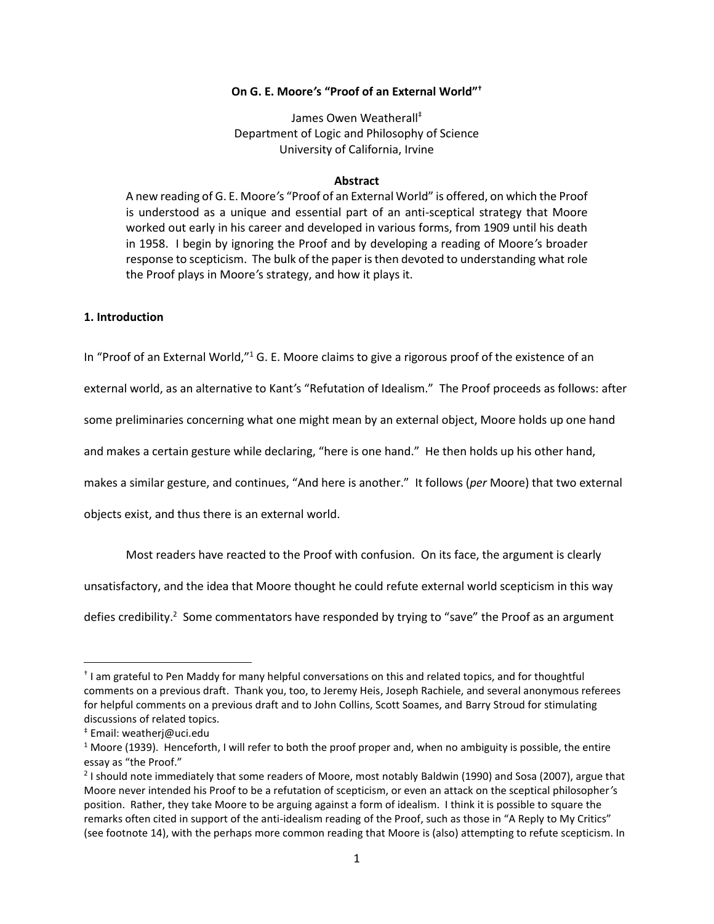# **On G. E. Moore***'***s "Proof of an External World"†**

James Owen Weatherall‡ Department of Logic and Philosophy of Science University of California, Irvine

#### **Abstract**

A new reading of G. E. Moore*'*s "Proof of an External World" is offered, on which the Proof is understood as a unique and essential part of an anti-sceptical strategy that Moore worked out early in his career and developed in various forms, from 1909 until his death in 1958. I begin by ignoring the Proof and by developing a reading of Moore*'*s broader response to scepticism. The bulk of the paper is then devoted to understanding what role the Proof plays in Moore*'*s strategy, and how it plays it.

## **1. Introduction**

In "Proof of an External World,"<sup>1</sup> G. E. Moore claims to give a rigorous proof of the existence of an

external world, as an alternative to Kant*'*s "Refutation of Idealism." The Proof proceeds as follows: after

some preliminaries concerning what one might mean by an external object, Moore holds up one hand

and makes a certain gesture while declaring, "here is one hand." He then holds up his other hand,

makes a similar gesture, and continues, "And here is another." It follows (*per* Moore) that two external

objects exist, and thus there is an external world.

<span id="page-0-0"></span>Most readers have reacted to the Proof with confusion. On its face, the argument is clearly

unsatisfactory, and the idea that Moore thought he could refute external world scepticism in this way

defies credibility.<sup>2</sup> Some commentators have responded by trying to "save" the Proof as an argument

<sup>†</sup> I am grateful to Pen Maddy for many helpful conversations on this and related topics, and for thoughtful comments on a previous draft. Thank you, too, to Jeremy Heis, Joseph Rachiele, and several anonymous referees for helpful comments on a previous draft and to John Collins, Scott Soames, and Barry Stroud for stimulating discussions of related topics.

<sup>‡</sup> Email: weatherj@uci.edu

 $1$  Moore (1939). Henceforth, I will refer to both the proof proper and, when no ambiguity is possible, the entire essay as "the Proof."

<sup>&</sup>lt;sup>2</sup> I should note immediately that some readers of Moore, most notably Baldwin (1990) and Sosa (2007), argue that Moore never intended his Proof to be a refutation of scepticism, or even an attack on the sceptical philosopher*'*s position. Rather, they take Moore to be arguing against a form of idealism. I think it is possible to square the remarks often cited in support of the anti-idealism reading of the Proof, such as those in "A Reply to My Critics" (see footnote [14\)](#page-6-0), with the perhaps more common reading that Moore is (also) attempting to refute scepticism. In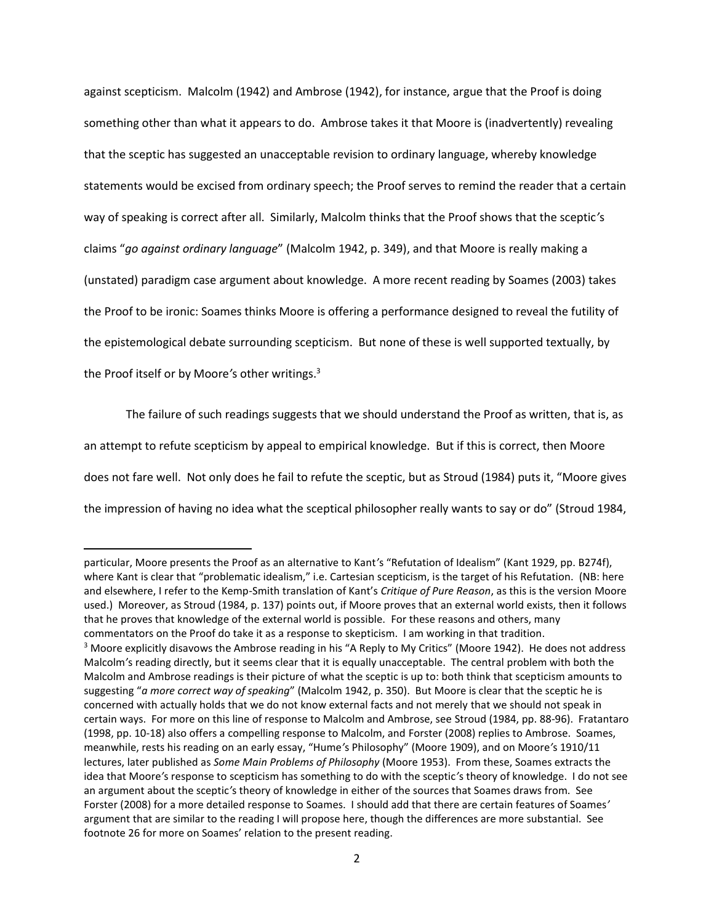against scepticism. Malcolm (1942) and Ambrose (1942), for instance, argue that the Proof is doing something other than what it appears to do. Ambrose takes it that Moore is (inadvertently) revealing that the sceptic has suggested an unacceptable revision to ordinary language, whereby knowledge statements would be excised from ordinary speech; the Proof serves to remind the reader that a certain way of speaking is correct after all. Similarly, Malcolm thinks that the Proof shows that the sceptic*'*s claims "*go against ordinary language*" (Malcolm 1942, p. 349), and that Moore is really making a (unstated) paradigm case argument about knowledge. A more recent reading by Soames (2003) takes the Proof to be ironic: Soames thinks Moore is offering a performance designed to reveal the futility of the epistemological debate surrounding scepticism. But none of these is well supported textually, by the Proof itself or by Moore*'*s other writings.<sup>3</sup>

<span id="page-1-0"></span>The failure of such readings suggests that we should understand the Proof as written, that is, as an attempt to refute scepticism by appeal to empirical knowledge. But if this is correct, then Moore does not fare well. Not only does he fail to refute the sceptic, but as Stroud (1984) puts it, "Moore gives the impression of having no idea what the sceptical philosopher really wants to say or do" (Stroud 1984,

l

particular, Moore presents the Proof as an alternative to Kant*'*s "Refutation of Idealism" (Kant 1929, pp. B274f), where Kant is clear that "problematic idealism," i.e. Cartesian scepticism, is the target of his Refutation. (NB: here and elsewhere, I refer to the Kemp-Smith translation of Kant's *Critique of Pure Reason*, as this is the version Moore used.) Moreover, as Stroud (1984, p. 137) points out, if Moore proves that an external world exists, then it follows that he proves that knowledge of the external world is possible. For these reasons and others, many commentators on the Proof do take it as a response to skepticism. I am working in that tradition. <sup>3</sup> Moore explicitly disavows the Ambrose reading in his "A Reply to My Critics" (Moore 1942). He does not address Malcolm*'*s reading directly, but it seems clear that it is equally unacceptable. The central problem with both the Malcolm and Ambrose readings is their picture of what the sceptic is up to: both think that scepticism amounts to suggesting "*a more correct way of speaking*" (Malcolm 1942, p. 350). But Moore is clear that the sceptic he is concerned with actually holds that we do not know external facts and not merely that we should not speak in certain ways. For more on this line of response to Malcolm and Ambrose, see Stroud (1984, pp. 88-96). Fratantaro (1998, pp. 10-18) also offers a compelling response to Malcolm, and Forster (2008) replies to Ambrose. Soames, meanwhile, rests his reading on an early essay, "Hume*'*s Philosophy" (Moore 1909), and on Moore*'*s 1910/11 lectures, later published as *Some Main Problems of Philosophy* (Moore 1953). From these, Soames extracts the idea that Moore*'*s response to scepticism has something to do with the sceptic*'*s theory of knowledge. I do not see an argument about the sceptic*'*s theory of knowledge in either of the sources that Soames draws from. See Forster (2008) for a more detailed response to Soames. I should add that there are certain features of Soames*'* argument that are similar to the reading I will propose here, though the differences are more substantial. See footnote [26](#page-21-0) for more on Soames' relation to the present reading.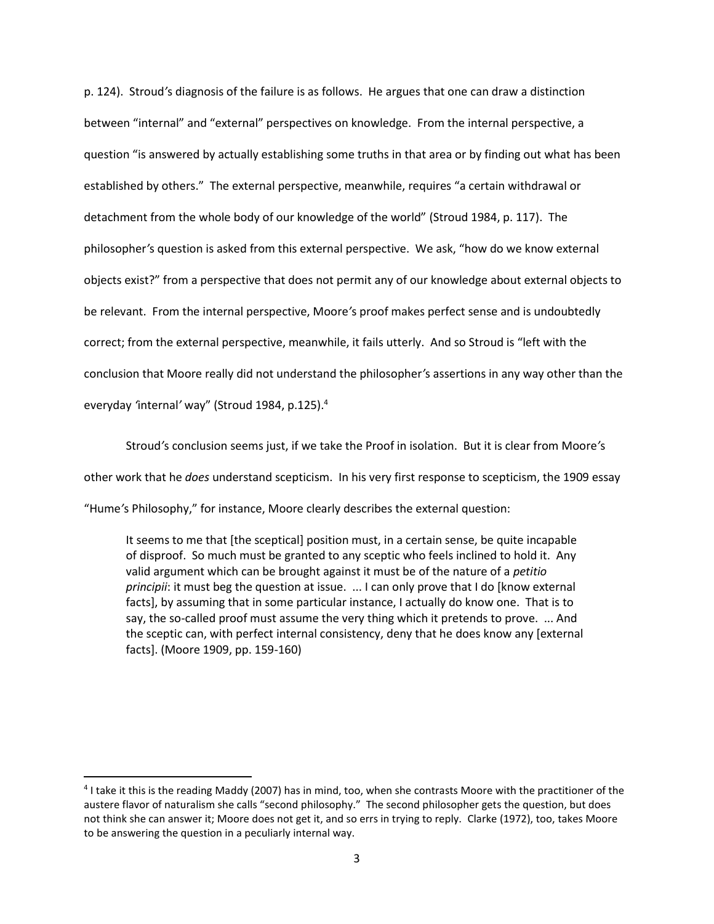p. 124). Stroud*'*s diagnosis of the failure is as follows. He argues that one can draw a distinction between "internal" and "external" perspectives on knowledge. From the internal perspective, a question "is answered by actually establishing some truths in that area or by finding out what has been established by others." The external perspective, meanwhile, requires "a certain withdrawal or detachment from the whole body of our knowledge of the world" (Stroud 1984, p. 117). The philosopher*'*s question is asked from this external perspective. We ask, "how do we know external objects exist?" from a perspective that does not permit any of our knowledge about external objects to be relevant. From the internal perspective, Moore*'*s proof makes perfect sense and is undoubtedly correct; from the external perspective, meanwhile, it fails utterly. And so Stroud is "left with the conclusion that Moore really did not understand the philosopher*'*s assertions in any way other than the everyday *'*internal*'* way" (Stroud 1984, p.125). 4

Stroud*'*s conclusion seems just, if we take the Proof in isolation. But it is clear from Moore*'*s other work that he *does* understand scepticism. In his very first response to scepticism, the 1909 essay "Hume*'*s Philosophy," for instance, Moore clearly describes the external question:

It seems to me that [the sceptical] position must, in a certain sense, be quite incapable of disproof. So much must be granted to any sceptic who feels inclined to hold it. Any valid argument which can be brought against it must be of the nature of a *petitio principii*: it must beg the question at issue. ... I can only prove that I do [know external facts], by assuming that in some particular instance, I actually do know one. That is to say, the so-called proof must assume the very thing which it pretends to prove. ... And the sceptic can, with perfect internal consistency, deny that he does know any [external facts]. (Moore 1909, pp. 159-160)

 $\overline{a}$ 

<sup>4</sup> I take it this is the reading Maddy (2007) has in mind, too, when she contrasts Moore with the practitioner of the austere flavor of naturalism she calls "second philosophy." The second philosopher gets the question, but does not think she can answer it; Moore does not get it, and so errs in trying to reply. Clarke (1972), too, takes Moore to be answering the question in a peculiarly internal way.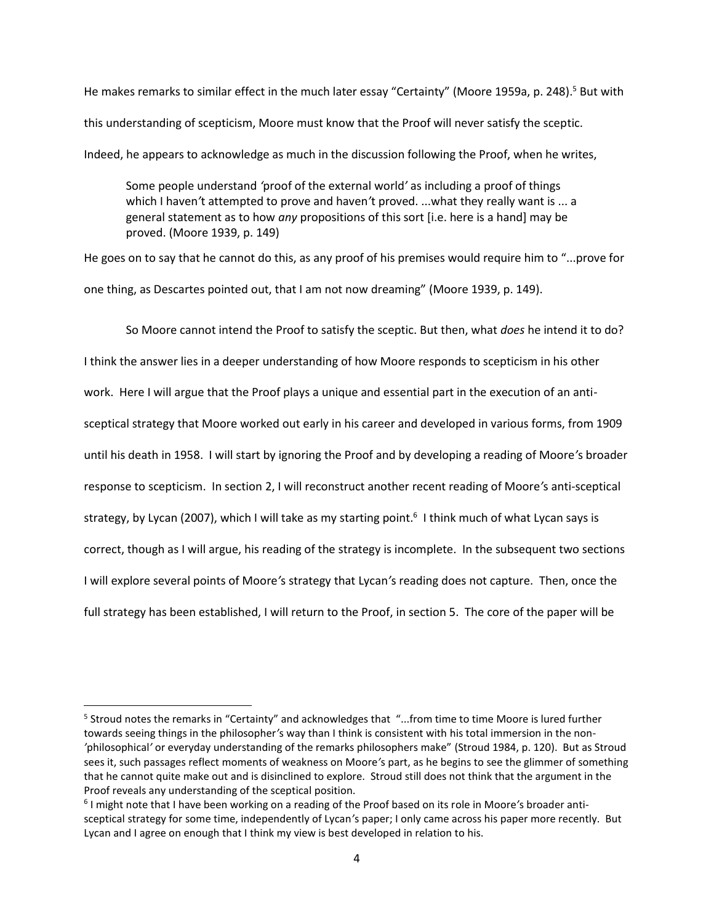He makes remarks to similar effect in the much later essay "Certainty" (Moore 1959a, p. 248).<sup>5</sup> But with this understanding of scepticism, Moore must know that the Proof will never satisfy the sceptic. Indeed, he appears to acknowledge as much in the discussion following the Proof, when he writes,

Some people understand *'*proof of the external world*'* as including a proof of things which I haven*'*t attempted to prove and haven*'*t proved. ...what they really want is ... a general statement as to how *any* propositions of this sort [i.e. here is a hand] may be proved. (Moore 1939, p. 149)

He goes on to say that he cannot do this, as any proof of his premises would require him to "...prove for one thing, as Descartes pointed out, that I am not now dreaming" (Moore 1939, p. 149).

So Moore cannot intend the Proof to satisfy the sceptic. But then, what *does* he intend it to do? I think the answer lies in a deeper understanding of how Moore responds to scepticism in his other work. Here I will argue that the Proof plays a unique and essential part in the execution of an antisceptical strategy that Moore worked out early in his career and developed in various forms, from 1909 until his death in 1958. I will start by ignoring the Proof and by developing a reading of Moore*'*s broader response to scepticism. In section 2, I will reconstruct another recent reading of Moore*'*s anti-sceptical strategy, by Lycan (2007), which I will take as my starting point.<sup>6</sup> I think much of what Lycan says is correct, though as I will argue, his reading of the strategy is incomplete. In the subsequent two sections I will explore several points of Moore*'*s strategy that Lycan*'*s reading does not capture. Then, once the full strategy has been established, I will return to the Proof, in section 5. The core of the paper will be

<sup>&</sup>lt;sup>5</sup> Stroud notes the remarks in "Certainty" and acknowledges that "...from time to time Moore is lured further towards seeing things in the philosopher*'*s way than I think is consistent with his total immersion in the non- *'*philosophical*'* or everyday understanding of the remarks philosophers make" (Stroud 1984, p. 120). But as Stroud sees it, such passages reflect moments of weakness on Moore*'*s part, as he begins to see the glimmer of something that he cannot quite make out and is disinclined to explore. Stroud still does not think that the argument in the Proof reveals any understanding of the sceptical position.

<sup>6</sup> I might note that I have been working on a reading of the Proof based on its role in Moore*'*s broader antisceptical strategy for some time, independently of Lycan*'*s paper; I only came across his paper more recently. But Lycan and I agree on enough that I think my view is best developed in relation to his.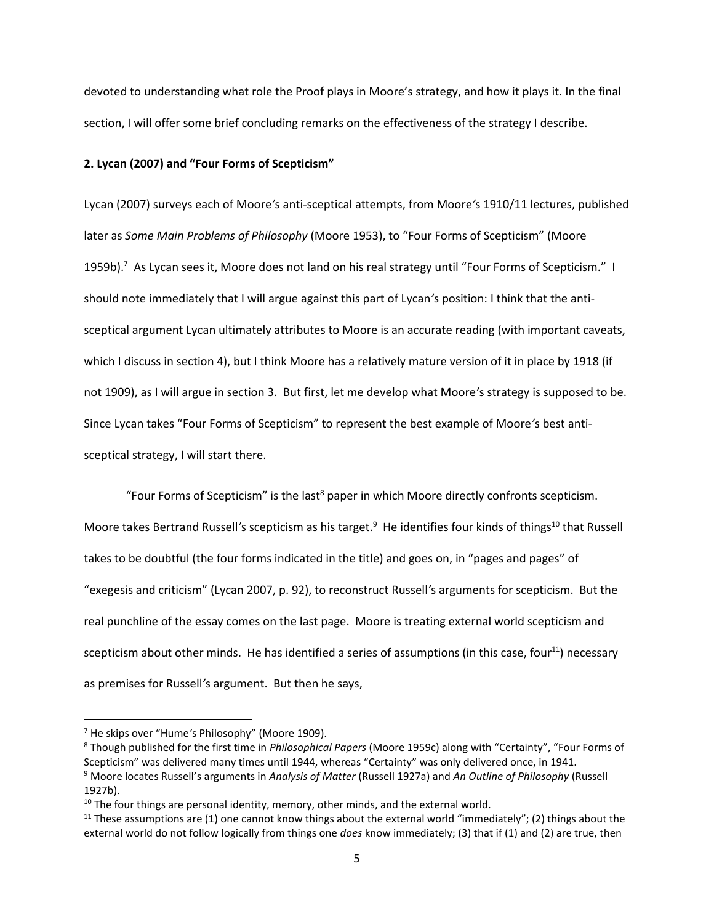devoted to understanding what role the Proof plays in Moore's strategy, and how it plays it. In the final section, I will offer some brief concluding remarks on the effectiveness of the strategy I describe.

### **2. Lycan (2007) and "Four Forms of Scepticism"**

Lycan (2007) surveys each of Moore*'*s anti-sceptical attempts, from Moore*'*s 1910/11 lectures, published later as *Some Main Problems of Philosophy* (Moore 1953), to "Four Forms of Scepticism" (Moore 1959b).<sup>7</sup> As Lycan sees it, Moore does not land on his real strategy until "Four Forms of Scepticism." I should note immediately that I will argue against this part of Lycan*'*s position: I think that the antisceptical argument Lycan ultimately attributes to Moore is an accurate reading (with important caveats, which I discuss in section 4), but I think Moore has a relatively mature version of it in place by 1918 (if not 1909), as I will argue in section 3. But first, let me develop what Moore*'*s strategy is supposed to be. Since Lycan takes "Four Forms of Scepticism" to represent the best example of Moore*'*s best antisceptical strategy, I will start there.

"Four Forms of Scepticism" is the last<sup>8</sup> paper in which Moore directly confronts scepticism. Moore takes Bertrand Russell's scepticism as his target.<sup>9</sup> He identifies four kinds of things<sup>10</sup> that Russell takes to be doubtful (the four forms indicated in the title) and goes on, in "pages and pages" of "exegesis and criticism" (Lycan 2007, p. 92), to reconstruct Russell*'*s arguments for scepticism. But the real punchline of the essay comes on the last page. Moore is treating external world scepticism and scepticism about other minds. He has identified a series of assumptions (in this case, four<sup>11</sup>) necessary as premises for Russell*'*s argument. But then he says,

<sup>7</sup> He skips over "Hume*'*s Philosophy" (Moore 1909).

<sup>8</sup> Though published for the first time in *Philosophical Papers* (Moore 1959c) along with "Certainty", "Four Forms of Scepticism" was delivered many times until 1944, whereas "Certainty" was only delivered once, in 1941. <sup>9</sup> Moore locates Russell's arguments in *Analysis of Matter* (Russell 1927a) and *An Outline of Philosophy* (Russell 1927b).

 $10$  The four things are personal identity, memory, other minds, and the external world.

<sup>&</sup>lt;sup>11</sup> These assumptions are (1) one cannot know things about the external world "immediately"; (2) things about the external world do not follow logically from things one *does* know immediately; (3) that if (1) and (2) are true, then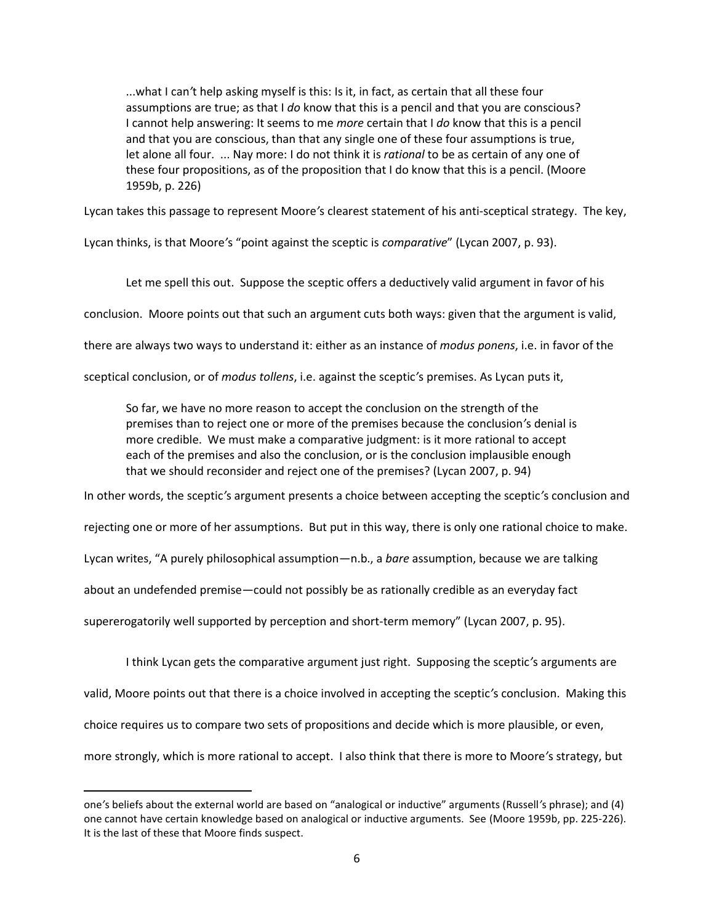...what I can*'*t help asking myself is this: Is it, in fact, as certain that all these four assumptions are true; as that I *do* know that this is a pencil and that you are conscious? I cannot help answering: It seems to me *more* certain that I *do* know that this is a pencil and that you are conscious, than that any single one of these four assumptions is true, let alone all four. ... Nay more: I do not think it is *rational* to be as certain of any one of these four propositions, as of the proposition that I do know that this is a pencil. (Moore 1959b, p. 226)

Lycan takes this passage to represent Moore*'*s clearest statement of his anti-sceptical strategy. The key,

Lycan thinks, is that Moore*'*s "point against the sceptic is *comparative*" (Lycan 2007, p. 93).

Let me spell this out. Suppose the sceptic offers a deductively valid argument in favor of his

conclusion. Moore points out that such an argument cuts both ways: given that the argument is valid,

there are always two ways to understand it: either as an instance of *modus ponens*, i.e. in favor of the

sceptical conclusion, or of *modus tollens*, i.e. against the sceptic*'*s premises. As Lycan puts it,

So far, we have no more reason to accept the conclusion on the strength of the premises than to reject one or more of the premises because the conclusion*'*s denial is more credible. We must make a comparative judgment: is it more rational to accept each of the premises and also the conclusion, or is the conclusion implausible enough that we should reconsider and reject one of the premises? (Lycan 2007, p. 94)

In other words, the sceptic*'*s argument presents a choice between accepting the sceptic*'*s conclusion and

rejecting one or more of her assumptions. But put in this way, there is only one rational choice to make.

Lycan writes, "A purely philosophical assumption—n.b., a *bare* assumption, because we are talking

about an undefended premise—could not possibly be as rationally credible as an everyday fact

supererogatorily well supported by perception and short-term memory" (Lycan 2007, p. 95).

 $\overline{\phantom{a}}$ 

I think Lycan gets the comparative argument just right. Supposing the sceptic*'*s arguments are valid, Moore points out that there is a choice involved in accepting the sceptic*'*s conclusion. Making this

choice requires us to compare two sets of propositions and decide which is more plausible, or even,

more strongly, which is more rational to accept. I also think that there is more to Moore*'*s strategy, but

one*'*s beliefs about the external world are based on "analogical or inductive" arguments (Russell*'*s phrase); and (4) one cannot have certain knowledge based on analogical or inductive arguments. See (Moore 1959b, pp. 225-226). It is the last of these that Moore finds suspect.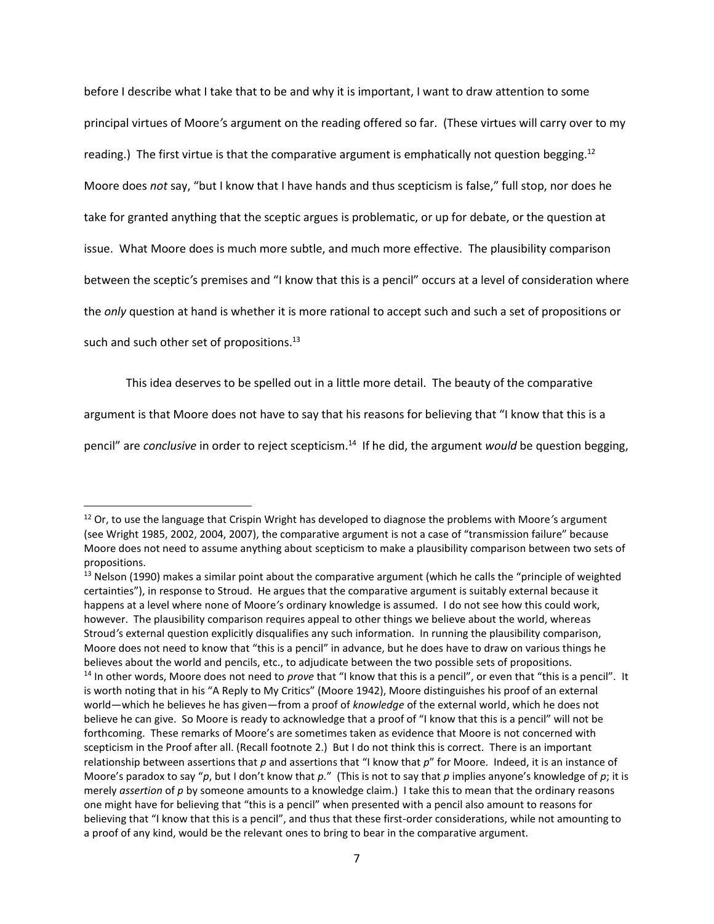before I describe what I take that to be and why it is important, I want to draw attention to some principal virtues of Moore*'*s argument on the reading offered so far. (These virtues will carry over to my reading.) The first virtue is that the comparative argument is emphatically not question begging.<sup>12</sup> Moore does *not* say, "but I know that I have hands and thus scepticism is false," full stop, nor does he take for granted anything that the sceptic argues is problematic, or up for debate, or the question at issue. What Moore does is much more subtle, and much more effective. The plausibility comparison between the sceptic*'*s premises and "I know that this is a pencil" occurs at a level of consideration where the *only* question at hand is whether it is more rational to accept such and such a set of propositions or such and such other set of propositions.<sup>13</sup>

<span id="page-6-0"></span>This idea deserves to be spelled out in a little more detail. The beauty of the comparative

argument is that Moore does not have to say that his reasons for believing that "I know that this is a

pencil" are *conclusive* in order to reject scepticism.<sup>14</sup> If he did, the argument *would* be question begging,

l

<sup>12</sup> Or, to use the language that Crispin Wright has developed to diagnose the problems with Moore*'*s argument (see Wright 1985, 2002, 2004, 2007), the comparative argument is not a case of "transmission failure" because Moore does not need to assume anything about scepticism to make a plausibility comparison between two sets of propositions.

 $13$  Nelson (1990) makes a similar point about the comparative argument (which he calls the "principle of weighted certainties"), in response to Stroud. He argues that the comparative argument is suitably external because it happens at a level where none of Moore*'*s ordinary knowledge is assumed. I do not see how this could work, however. The plausibility comparison requires appeal to other things we believe about the world, whereas Stroud*'*s external question explicitly disqualifies any such information. In running the plausibility comparison, Moore does not need to know that "this is a pencil" in advance, but he does have to draw on various things he believes about the world and pencils, etc., to adjudicate between the two possible sets of propositions. <sup>14</sup> In other words, Moore does not need to *prove* that "I know that this is a pencil", or even that "this is a pencil". It is worth noting that in his "A Reply to My Critics" (Moore 1942), Moore distinguishes his proof of an external world—which he believes he has given—from a proof of *knowledge* of the external world, which he does not believe he can give. So Moore is ready to acknowledge that a proof of "I know that this is a pencil" will not be forthcoming. These remarks of Moore's are sometimes taken as evidence that Moore is not concerned with scepticism in the Proof after all. (Recall footnote [2.\)](#page-0-0) But I do not think this is correct. There is an important relationship between assertions that *p* and assertions that "I know that *p*" for Moore. Indeed, it is an instance of Moore's paradox to say "*p*, but I don't know that *p.*" (This is not to say that *p* implies anyone's knowledge of *p*; it is merely *assertion* of *p* by someone amounts to a knowledge claim.) I take this to mean that the ordinary reasons one might have for believing that "this is a pencil" when presented with a pencil also amount to reasons for believing that "I know that this is a pencil", and thus that these first-order considerations, while not amounting to a proof of any kind, would be the relevant ones to bring to bear in the comparative argument.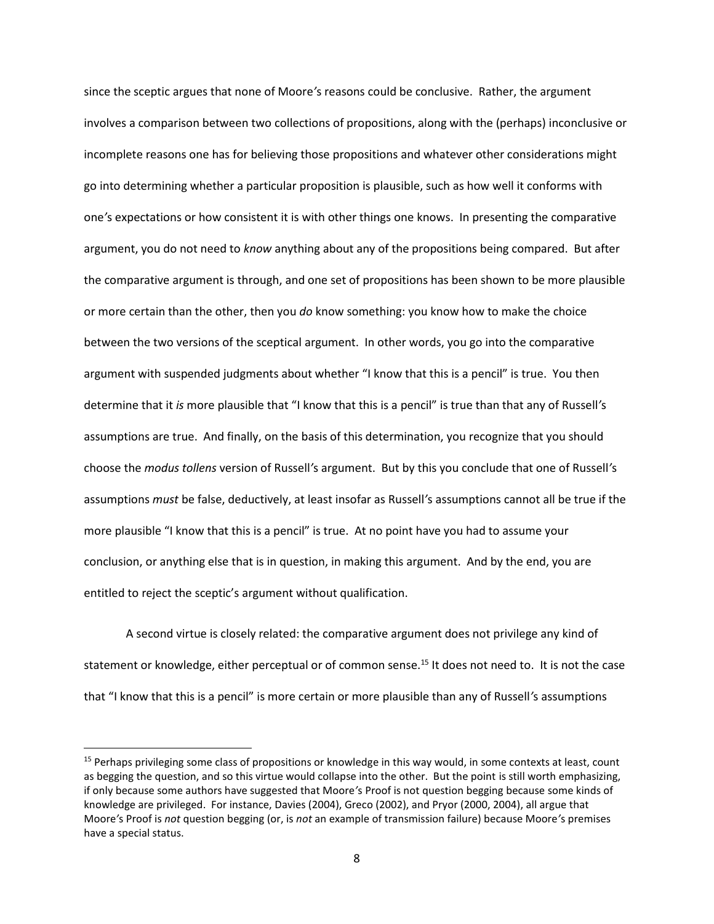since the sceptic argues that none of Moore*'*s reasons could be conclusive. Rather, the argument involves a comparison between two collections of propositions, along with the (perhaps) inconclusive or incomplete reasons one has for believing those propositions and whatever other considerations might go into determining whether a particular proposition is plausible, such as how well it conforms with one*'*s expectations or how consistent it is with other things one knows. In presenting the comparative argument, you do not need to *know* anything about any of the propositions being compared. But after the comparative argument is through, and one set of propositions has been shown to be more plausible or more certain than the other, then you *do* know something: you know how to make the choice between the two versions of the sceptical argument. In other words, you go into the comparative argument with suspended judgments about whether "I know that this is a pencil" is true. You then determine that it *is* more plausible that "I know that this is a pencil" is true than that any of Russell*'*s assumptions are true. And finally, on the basis of this determination, you recognize that you should choose the *modus tollens* version of Russell*'*s argument. But by this you conclude that one of Russell*'*s assumptions *must* be false, deductively, at least insofar as Russell*'*s assumptions cannot all be true if the more plausible "I know that this is a pencil" is true. At no point have you had to assume your conclusion, or anything else that is in question, in making this argument. And by the end, you are entitled to reject the sceptic's argument without qualification.

A second virtue is closely related: the comparative argument does not privilege any kind of statement or knowledge, either perceptual or of common sense.<sup>15</sup> It does not need to. It is not the case that "I know that this is a pencil" is more certain or more plausible than any of Russell*'*s assumptions

 $\overline{a}$ 

<sup>&</sup>lt;sup>15</sup> Perhaps privileging some class of propositions or knowledge in this way would, in some contexts at least, count as begging the question, and so this virtue would collapse into the other. But the point is still worth emphasizing, if only because some authors have suggested that Moore*'*s Proof is not question begging because some kinds of knowledge are privileged. For instance, Davies (2004), Greco (2002), and Pryor (2000, 2004), all argue that Moore*'*s Proof is *not* question begging (or, is *not* an example of transmission failure) because Moore*'*s premises have a special status.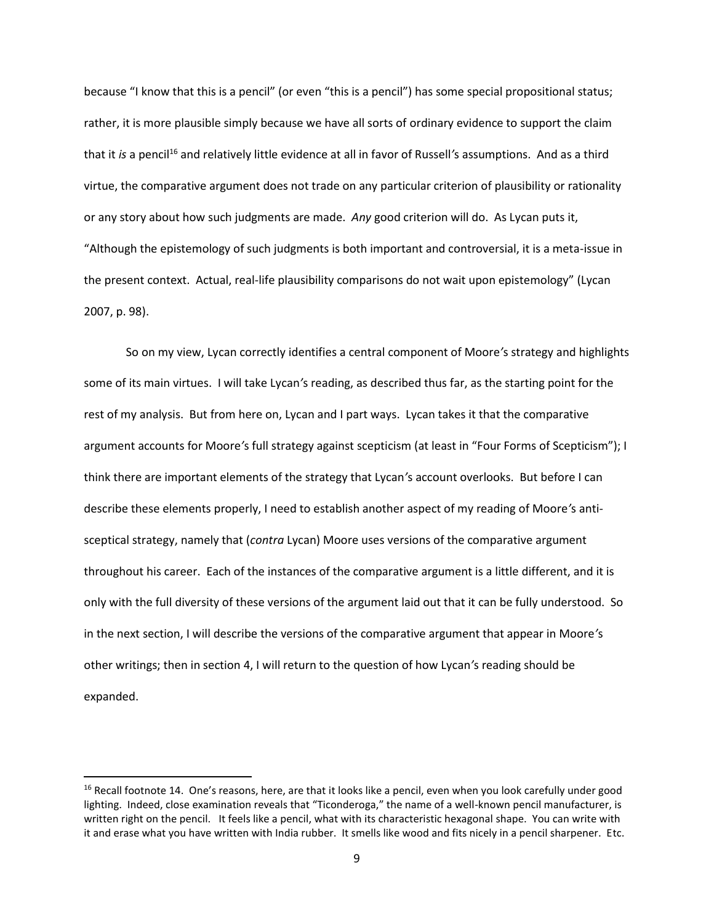because "I know that this is a pencil" (or even "this is a pencil") has some special propositional status; rather, it is more plausible simply because we have all sorts of ordinary evidence to support the claim that it *is* a pencil<sup>16</sup> and relatively little evidence at all in favor of Russell's assumptions. And as a third virtue, the comparative argument does not trade on any particular criterion of plausibility or rationality or any story about how such judgments are made. *Any* good criterion will do. As Lycan puts it, "Although the epistemology of such judgments is both important and controversial, it is a meta-issue in the present context. Actual, real-life plausibility comparisons do not wait upon epistemology" (Lycan 2007, p. 98).

So on my view, Lycan correctly identifies a central component of Moore*'*s strategy and highlights some of its main virtues. I will take Lycan*'*s reading, as described thus far, as the starting point for the rest of my analysis. But from here on, Lycan and I part ways. Lycan takes it that the comparative argument accounts for Moore*'*s full strategy against scepticism (at least in "Four Forms of Scepticism"); I think there are important elements of the strategy that Lycan*'*s account overlooks. But before I can describe these elements properly, I need to establish another aspect of my reading of Moore*'*s antisceptical strategy, namely that (*contra* Lycan) Moore uses versions of the comparative argument throughout his career. Each of the instances of the comparative argument is a little different, and it is only with the full diversity of these versions of the argument laid out that it can be fully understood. So in the next section, I will describe the versions of the comparative argument that appear in Moore*'*s other writings; then in section 4, I will return to the question of how Lycan*'*s reading should be expanded.

 $\overline{a}$ 

<sup>&</sup>lt;sup>16</sup> Recall footnote [14](#page-6-0). One's reasons, here, are that it looks like a pencil, even when you look carefully under good lighting. Indeed, close examination reveals that "Ticonderoga," the name of a well-known pencil manufacturer, is written right on the pencil. It feels like a pencil, what with its characteristic hexagonal shape. You can write with it and erase what you have written with India rubber. It smells like wood and fits nicely in a pencil sharpener. Etc.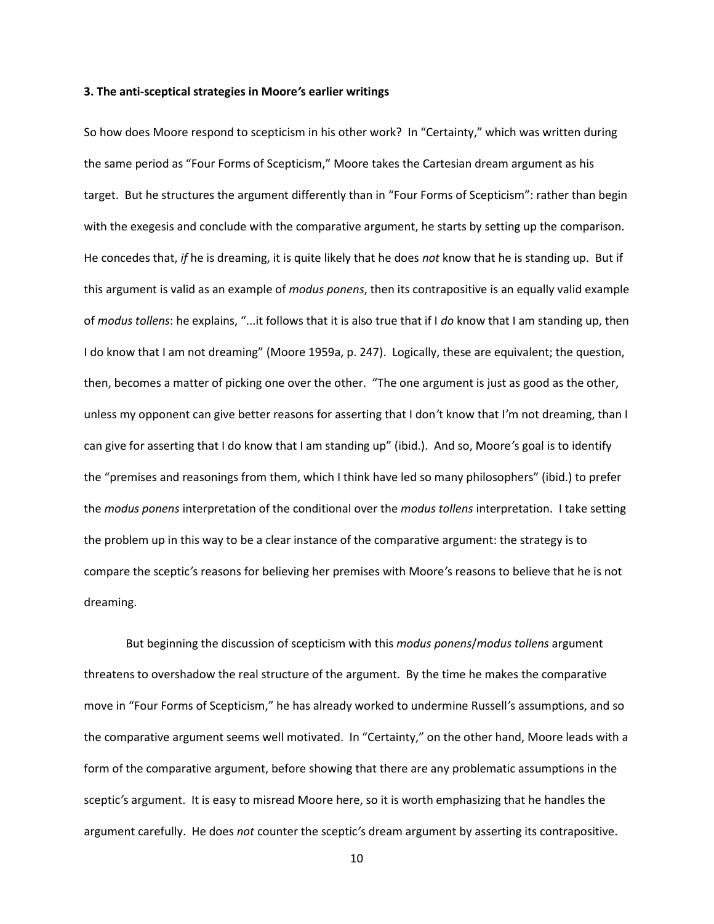#### **3. The anti-sceptical strategies in Moore***'***s earlier writings**

So how does Moore respond to scepticism in his other work? In "Certainty," which was written during the same period as "Four Forms of Scepticism," Moore takes the Cartesian dream argument as his target. But he structures the argument differently than in "Four Forms of Scepticism": rather than begin with the exegesis and conclude with the comparative argument, he starts by setting up the comparison. He concedes that, *if* he is dreaming, it is quite likely that he does *not* know that he is standing up. But if this argument is valid as an example of *modus ponens*, then its contrapositive is an equally valid example of *modus tollens*: he explains, "...it follows that it is also true that if I *do* know that I am standing up, then I do know that I am not dreaming" (Moore 1959a, p. 247). Logically, these are equivalent; the question, then, becomes a matter of picking one over the other. "The one argument is just as good as the other, unless my opponent can give better reasons for asserting that I don*'*t know that I*'*m not dreaming, than I can give for asserting that I do know that I am standing up" (ibid.). And so, Moore*'*s goal is to identify the "premises and reasonings from them, which I think have led so many philosophers" (ibid.) to prefer the *modus ponens* interpretation of the conditional over the *modus tollens* interpretation. I take setting the problem up in this way to be a clear instance of the comparative argument: the strategy is to compare the sceptic*'*s reasons for believing her premises with Moore*'*s reasons to believe that he is not dreaming.

But beginning the discussion of scepticism with this *modus ponens*/*modus tollens* argument threatens to overshadow the real structure of the argument. By the time he makes the comparative move in "Four Forms of Scepticism," he has already worked to undermine Russell*'*s assumptions, and so the comparative argument seems well motivated. In "Certainty," on the other hand, Moore leads with a form of the comparative argument, before showing that there are any problematic assumptions in the sceptic*'*s argument. It is easy to misread Moore here, so it is worth emphasizing that he handles the argument carefully. He does *not* counter the sceptic*'*s dream argument by asserting its contrapositive.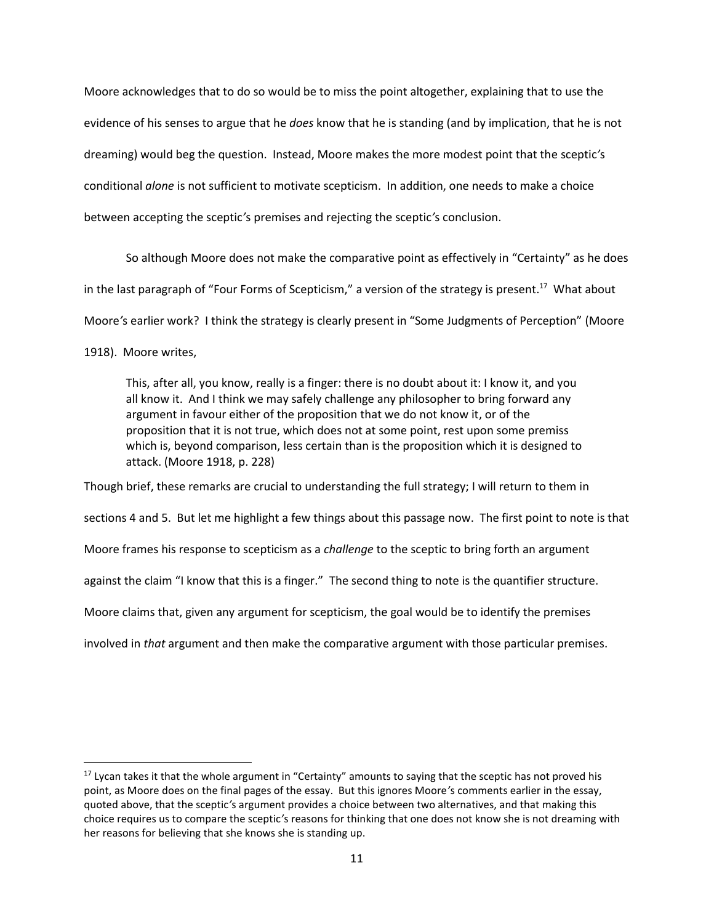Moore acknowledges that to do so would be to miss the point altogether, explaining that to use the evidence of his senses to argue that he *does* know that he is standing (and by implication, that he is not dreaming) would beg the question. Instead, Moore makes the more modest point that the sceptic*'*s conditional *alone* is not sufficient to motivate scepticism. In addition, one needs to make a choice between accepting the sceptic*'*s premises and rejecting the sceptic*'*s conclusion.

So although Moore does not make the comparative point as effectively in "Certainty" as he does in the last paragraph of "Four Forms of Scepticism," a version of the strategy is present.<sup>17</sup> What about Moore*'*s earlier work? I think the strategy is clearly present in "Some Judgments of Perception" (Moore

1918). Moore writes,

l

This, after all, you know, really is a finger: there is no doubt about it: I know it, and you all know it. And I think we may safely challenge any philosopher to bring forward any argument in favour either of the proposition that we do not know it, or of the proposition that it is not true, which does not at some point, rest upon some premiss which is, beyond comparison, less certain than is the proposition which it is designed to attack. (Moore 1918, p. 228)

Though brief, these remarks are crucial to understanding the full strategy; I will return to them in sections 4 and 5. But let me highlight a few things about this passage now. The first point to note is that Moore frames his response to scepticism as a *challenge* to the sceptic to bring forth an argument against the claim "I know that this is a finger." The second thing to note is the quantifier structure. Moore claims that, given any argument for scepticism, the goal would be to identify the premises involved in *that* argument and then make the comparative argument with those particular premises.

<sup>&</sup>lt;sup>17</sup> Lycan takes it that the whole argument in "Certainty" amounts to saying that the sceptic has not proved his point, as Moore does on the final pages of the essay. But this ignores Moore*'*s comments earlier in the essay, quoted above, that the sceptic*'*s argument provides a choice between two alternatives, and that making this choice requires us to compare the sceptic*'*s reasons for thinking that one does not know she is not dreaming with her reasons for believing that she knows she is standing up.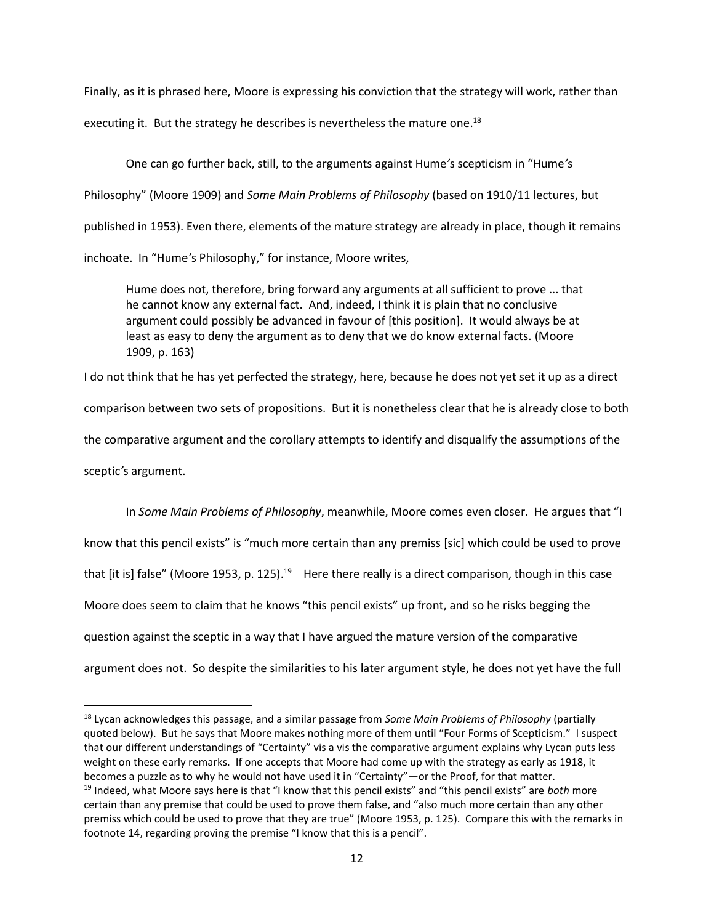Finally, as it is phrased here, Moore is expressing his conviction that the strategy will work, rather than executing it. But the strategy he describes is nevertheless the mature one.<sup>18</sup>

One can go further back, still, to the arguments against Hume*'*s scepticism in "Hume*'*s Philosophy" (Moore 1909) and *Some Main Problems of Philosophy* (based on 1910/11 lectures, but published in 1953). Even there, elements of the mature strategy are already in place, though it remains inchoate. In "Hume*'*s Philosophy," for instance, Moore writes,

Hume does not, therefore, bring forward any arguments at all sufficient to prove ... that he cannot know any external fact. And, indeed, I think it is plain that no conclusive argument could possibly be advanced in favour of [this position]. It would always be at least as easy to deny the argument as to deny that we do know external facts. (Moore 1909, p. 163)

I do not think that he has yet perfected the strategy, here, because he does not yet set it up as a direct comparison between two sets of propositions. But it is nonetheless clear that he is already close to both the comparative argument and the corollary attempts to identify and disqualify the assumptions of the sceptic*'*s argument.

In *Some Main Problems of Philosophy*, meanwhile, Moore comes even closer. He argues that "I know that this pencil exists" is "much more certain than any premiss [sic] which could be used to prove that [it is] false" (Moore 1953, p. 125).<sup>19</sup> Here there really is a direct comparison, though in this case Moore does seem to claim that he knows "this pencil exists" up front, and so he risks begging the question against the sceptic in a way that I have argued the mature version of the comparative argument does not. So despite the similarities to his later argument style, he does not yet have the full

<sup>18</sup> Lycan acknowledges this passage, and a similar passage from *Some Main Problems of Philosophy* (partially quoted below). But he says that Moore makes nothing more of them until "Four Forms of Scepticism." I suspect that our different understandings of "Certainty" vis a vis the comparative argument explains why Lycan puts less weight on these early remarks. If one accepts that Moore had come up with the strategy as early as 1918, it becomes a puzzle as to why he would not have used it in "Certainty"—or the Proof, for that matter.

<sup>19</sup> Indeed, what Moore says here is that "I know that this pencil exists" and "this pencil exists" are *both* more certain than any premise that could be used to prove them false, and "also much more certain than any other premiss which could be used to prove that they are true" (Moore 1953, p. 125). Compare this with the remarks in footnote [14](#page-6-0), regarding proving the premise "I know that this is a pencil".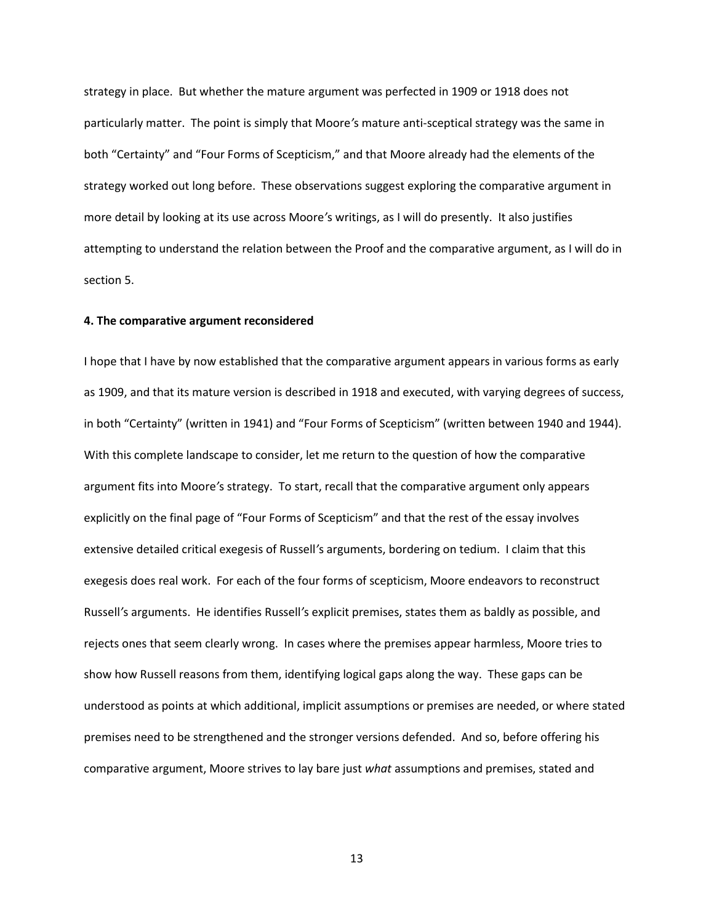strategy in place. But whether the mature argument was perfected in 1909 or 1918 does not particularly matter. The point is simply that Moore*'*s mature anti-sceptical strategy was the same in both "Certainty" and "Four Forms of Scepticism," and that Moore already had the elements of the strategy worked out long before. These observations suggest exploring the comparative argument in more detail by looking at its use across Moore*'*s writings, as I will do presently. It also justifies attempting to understand the relation between the Proof and the comparative argument, as I will do in section 5.

## **4. The comparative argument reconsidered**

I hope that I have by now established that the comparative argument appears in various forms as early as 1909, and that its mature version is described in 1918 and executed, with varying degrees of success, in both "Certainty" (written in 1941) and "Four Forms of Scepticism" (written between 1940 and 1944). With this complete landscape to consider, let me return to the question of how the comparative argument fits into Moore*'*s strategy. To start, recall that the comparative argument only appears explicitly on the final page of "Four Forms of Scepticism" and that the rest of the essay involves extensive detailed critical exegesis of Russell*'*s arguments, bordering on tedium. I claim that this exegesis does real work. For each of the four forms of scepticism, Moore endeavors to reconstruct Russell*'*s arguments. He identifies Russell*'*s explicit premises, states them as baldly as possible, and rejects ones that seem clearly wrong. In cases where the premises appear harmless, Moore tries to show how Russell reasons from them, identifying logical gaps along the way. These gaps can be understood as points at which additional, implicit assumptions or premises are needed, or where stated premises need to be strengthened and the stronger versions defended. And so, before offering his comparative argument, Moore strives to lay bare just *what* assumptions and premises, stated and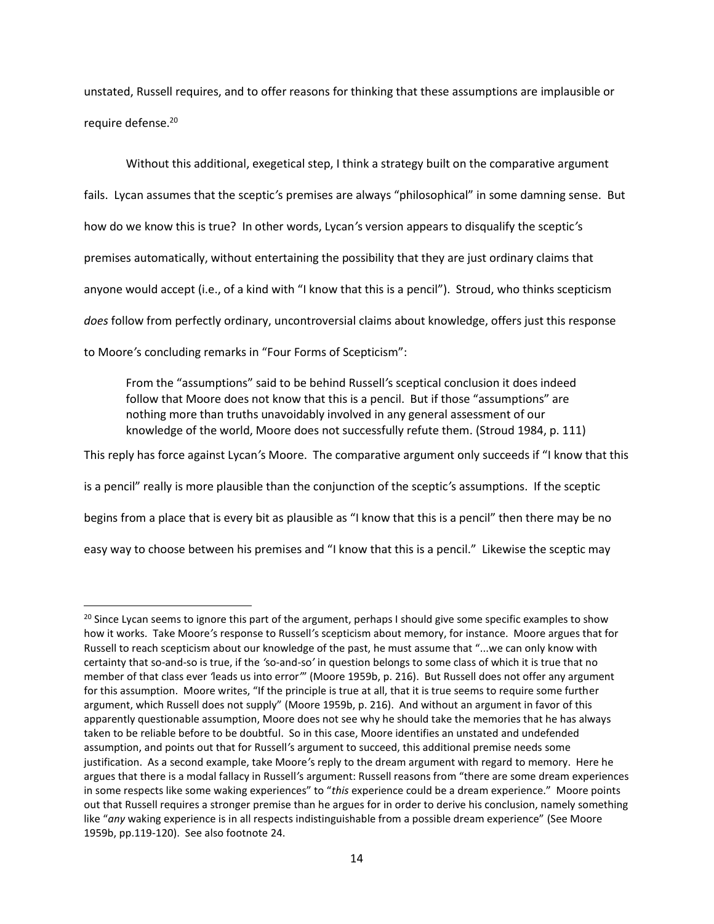<span id="page-13-0"></span>unstated, Russell requires, and to offer reasons for thinking that these assumptions are implausible or require defense.<sup>20</sup>

Without this additional, exegetical step, I think a strategy built on the comparative argument fails. Lycan assumes that the sceptic*'*s premises are always "philosophical" in some damning sense. But how do we know this is true? In other words, Lycan*'*s version appears to disqualify the sceptic*'*s premises automatically, without entertaining the possibility that they are just ordinary claims that anyone would accept (i.e., of a kind with "I know that this is a pencil"). Stroud, who thinks scepticism *does* follow from perfectly ordinary, uncontroversial claims about knowledge, offers just this response to Moore*'*s concluding remarks in "Four Forms of Scepticism":

From the "assumptions" said to be behind Russell*'*s sceptical conclusion it does indeed follow that Moore does not know that this is a pencil. But if those "assumptions" are nothing more than truths unavoidably involved in any general assessment of our knowledge of the world, Moore does not successfully refute them. (Stroud 1984, p. 111)

This reply has force against Lycan*'*s Moore. The comparative argument only succeeds if "I know that this

is a pencil" really is more plausible than the conjunction of the sceptic*'*s assumptions. If the sceptic

begins from a place that is every bit as plausible as "I know that this is a pencil" then there may be no

easy way to choose between his premises and "I know that this is a pencil." Likewise the sceptic may

l

<sup>&</sup>lt;sup>20</sup> Since Lycan seems to ignore this part of the argument, perhaps I should give some specific examples to show how it works. Take Moore*'*s response to Russell*'*s scepticism about memory, for instance. Moore argues that for Russell to reach scepticism about our knowledge of the past, he must assume that "...we can only know with certainty that so-and-so is true, if the *'*so-and-so*'* in question belongs to some class of which it is true that no member of that class ever *'*leads us into error*'*" (Moore 1959b, p. 216). But Russell does not offer any argument for this assumption. Moore writes, "If the principle is true at all, that it is true seems to require some further argument, which Russell does not supply" (Moore 1959b, p. 216). And without an argument in favor of this apparently questionable assumption, Moore does not see why he should take the memories that he has always taken to be reliable before to be doubtful. So in this case, Moore identifies an unstated and undefended assumption, and points out that for Russell*'*s argument to succeed, this additional premise needs some justification. As a second example, take Moore*'*s reply to the dream argument with regard to memory. Here he argues that there is a modal fallacy in Russell*'*s argument: Russell reasons from "there are some dream experiences in some respects like some waking experiences" to "*this* experience could be a dream experience." Moore points out that Russell requires a stronger premise than he argues for in order to derive his conclusion, namely something like "*any* waking experience is in all respects indistinguishable from a possible dream experience" (See Moore 1959b, pp.119-120). See also footnote [24.](#page-17-0)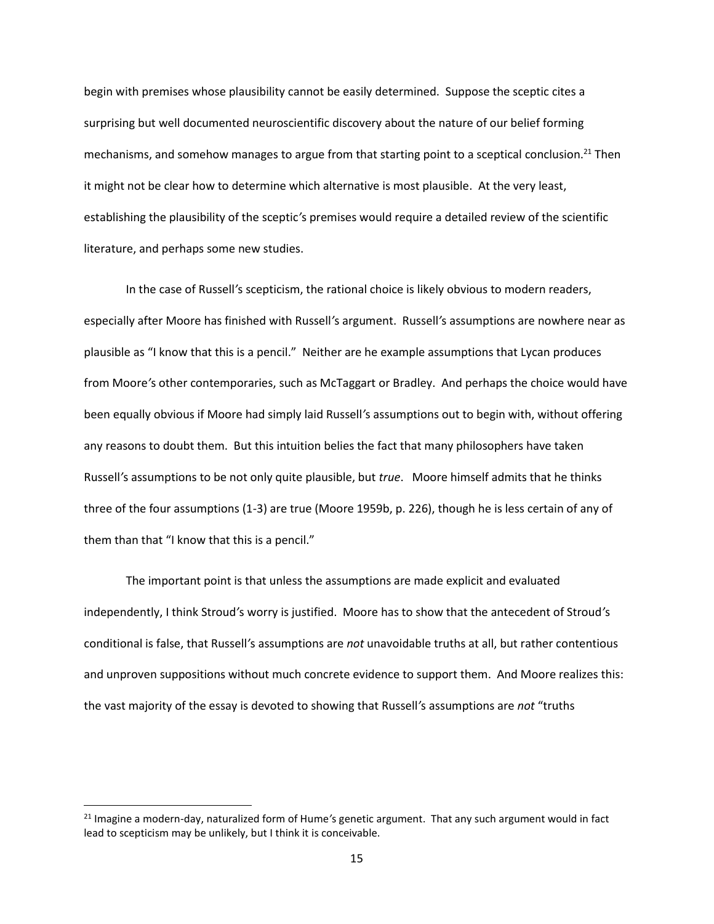begin with premises whose plausibility cannot be easily determined. Suppose the sceptic cites a surprising but well documented neuroscientific discovery about the nature of our belief forming mechanisms, and somehow manages to argue from that starting point to a sceptical conclusion.<sup>21</sup> Then it might not be clear how to determine which alternative is most plausible. At the very least, establishing the plausibility of the sceptic*'*s premises would require a detailed review of the scientific literature, and perhaps some new studies.

In the case of Russell*'*s scepticism, the rational choice is likely obvious to modern readers, especially after Moore has finished with Russell*'*s argument. Russell*'*s assumptions are nowhere near as plausible as "I know that this is a pencil." Neither are he example assumptions that Lycan produces from Moore*'*s other contemporaries, such as McTaggart or Bradley. And perhaps the choice would have been equally obvious if Moore had simply laid Russell*'*s assumptions out to begin with, without offering any reasons to doubt them. But this intuition belies the fact that many philosophers have taken Russell*'*s assumptions to be not only quite plausible, but *true*. Moore himself admits that he thinks three of the four assumptions (1-3) are true (Moore 1959b, p. 226), though he is less certain of any of them than that "I know that this is a pencil."

The important point is that unless the assumptions are made explicit and evaluated independently, I think Stroud*'*s worry is justified. Moore has to show that the antecedent of Stroud*'*s conditional is false, that Russell*'*s assumptions are *not* unavoidable truths at all, but rather contentious and unproven suppositions without much concrete evidence to support them. And Moore realizes this: the vast majority of the essay is devoted to showing that Russell*'*s assumptions are *not* "truths

l

<sup>21</sup> Imagine a modern-day, naturalized form of Hume*'*s genetic argument. That any such argument would in fact lead to scepticism may be unlikely, but I think it is conceivable.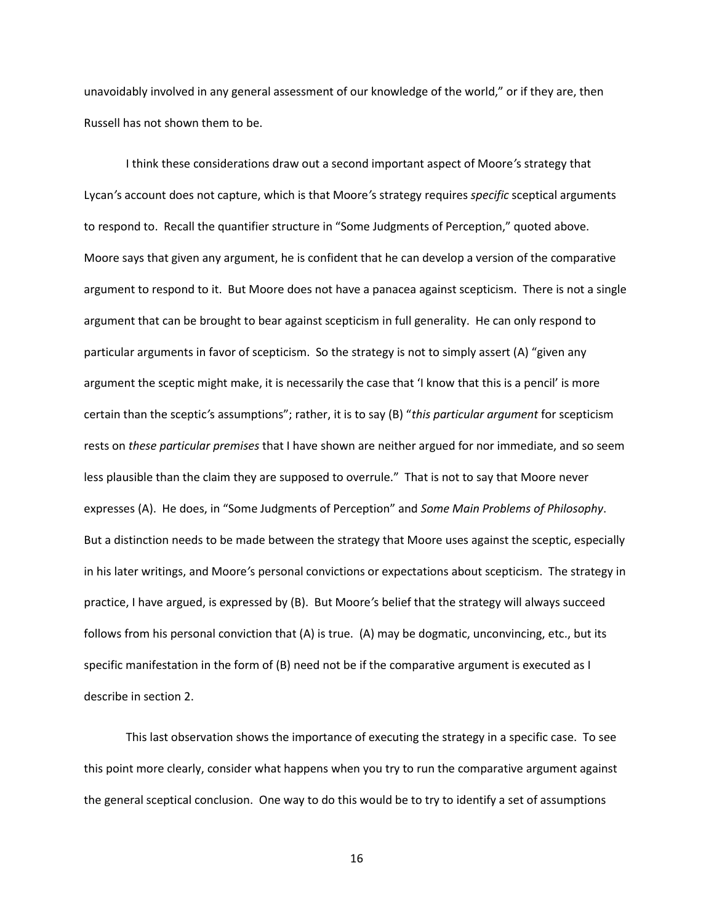unavoidably involved in any general assessment of our knowledge of the world," or if they are, then Russell has not shown them to be.

I think these considerations draw out a second important aspect of Moore*'*s strategy that Lycan*'*s account does not capture, which is that Moore*'*s strategy requires *specific* sceptical arguments to respond to. Recall the quantifier structure in "Some Judgments of Perception," quoted above. Moore says that given any argument, he is confident that he can develop a version of the comparative argument to respond to it. But Moore does not have a panacea against scepticism. There is not a single argument that can be brought to bear against scepticism in full generality. He can only respond to particular arguments in favor of scepticism. So the strategy is not to simply assert (A) "given any argument the sceptic might make, it is necessarily the case that 'I know that this is a pencil' is more certain than the sceptic*'*s assumptions"; rather, it is to say (B) "*this particular argument* for scepticism rests on *these particular premises* that I have shown are neither argued for nor immediate, and so seem less plausible than the claim they are supposed to overrule." That is not to say that Moore never expresses (A). He does, in "Some Judgments of Perception" and *Some Main Problems of Philosophy*. But a distinction needs to be made between the strategy that Moore uses against the sceptic, especially in his later writings, and Moore*'*s personal convictions or expectations about scepticism. The strategy in practice, I have argued, is expressed by (B). But Moore*'*s belief that the strategy will always succeed follows from his personal conviction that (A) is true. (A) may be dogmatic, unconvincing, etc., but its specific manifestation in the form of (B) need not be if the comparative argument is executed as I describe in section 2.

This last observation shows the importance of executing the strategy in a specific case. To see this point more clearly, consider what happens when you try to run the comparative argument against the general sceptical conclusion. One way to do this would be to try to identify a set of assumptions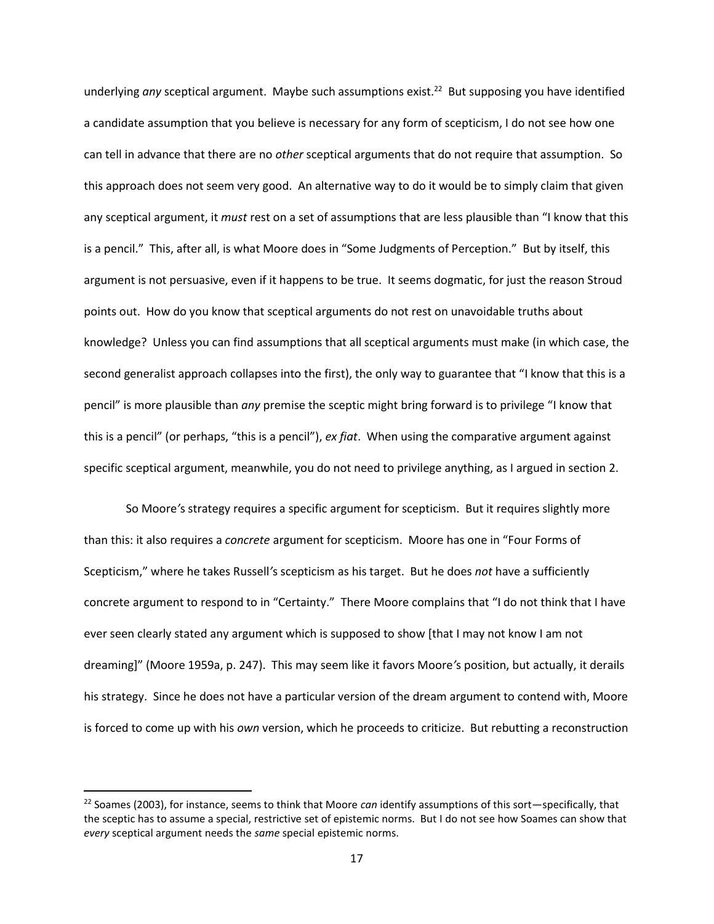underlying *any* sceptical argument. Maybe such assumptions exist.<sup>22</sup> But supposing you have identified a candidate assumption that you believe is necessary for any form of scepticism, I do not see how one can tell in advance that there are no *other* sceptical arguments that do not require that assumption. So this approach does not seem very good. An alternative way to do it would be to simply claim that given any sceptical argument, it *must* rest on a set of assumptions that are less plausible than "I know that this is a pencil." This, after all, is what Moore does in "Some Judgments of Perception." But by itself, this argument is not persuasive, even if it happens to be true. It seems dogmatic, for just the reason Stroud points out. How do you know that sceptical arguments do not rest on unavoidable truths about knowledge? Unless you can find assumptions that all sceptical arguments must make (in which case, the second generalist approach collapses into the first), the only way to guarantee that "I know that this is a pencil" is more plausible than *any* premise the sceptic might bring forward is to privilege "I know that this is a pencil" (or perhaps, "this is a pencil"), *ex fiat*. When using the comparative argument against specific sceptical argument, meanwhile, you do not need to privilege anything, as I argued in section 2.

So Moore*'*s strategy requires a specific argument for scepticism. But it requires slightly more than this: it also requires a *concrete* argument for scepticism. Moore has one in "Four Forms of Scepticism," where he takes Russell*'*s scepticism as his target. But he does *not* have a sufficiently concrete argument to respond to in "Certainty." There Moore complains that "I do not think that I have ever seen clearly stated any argument which is supposed to show [that I may not know I am not dreaming]" (Moore 1959a, p. 247). This may seem like it favors Moore*'*s position, but actually, it derails his strategy. Since he does not have a particular version of the dream argument to contend with, Moore is forced to come up with his *own* version, which he proceeds to criticize. But rebutting a reconstruction

<sup>22</sup> Soames (2003), for instance, seems to think that Moore *can* identify assumptions of this sort—specifically, that the sceptic has to assume a special, restrictive set of epistemic norms. But I do not see how Soames can show that *every* sceptical argument needs the *same* special epistemic norms.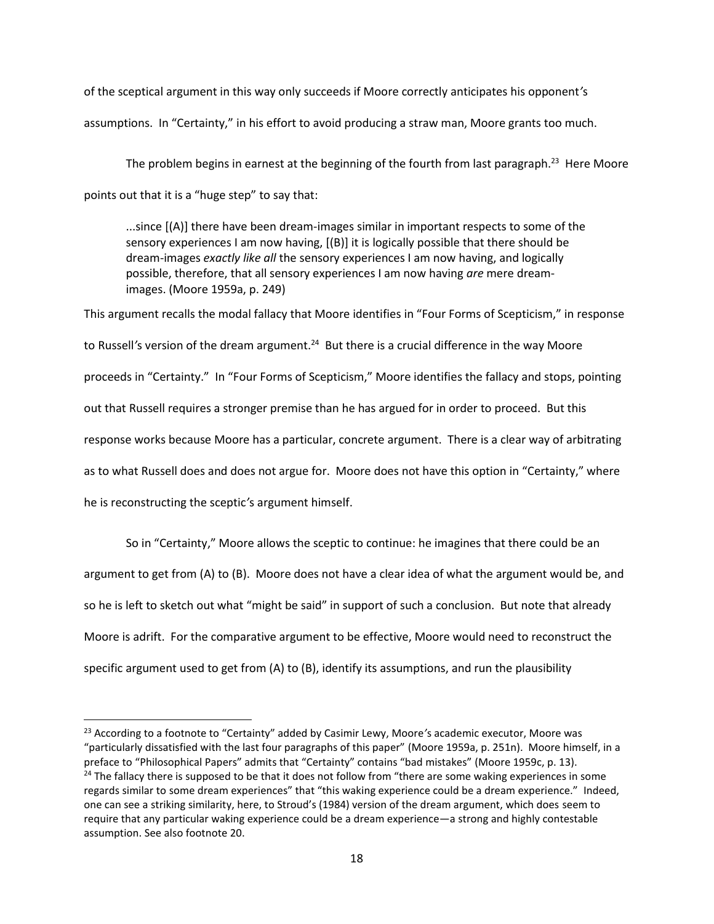of the sceptical argument in this way only succeeds if Moore correctly anticipates his opponent*'*s assumptions. In "Certainty," in his effort to avoid producing a straw man, Moore grants too much.

The problem begins in earnest at the beginning of the fourth from last paragraph.<sup>23</sup> Here Moore points out that it is a "huge step" to say that:

<span id="page-17-0"></span>...since [(A)] there have been dream-images similar in important respects to some of the sensory experiences I am now having, [(B)] it is logically possible that there should be dream-images *exactly like all* the sensory experiences I am now having, and logically possible, therefore, that all sensory experiences I am now having *are* mere dreamimages. (Moore 1959a, p. 249)

This argument recalls the modal fallacy that Moore identifies in "Four Forms of Scepticism," in response to Russell's version of the dream argument.<sup>24</sup> But there is a crucial difference in the way Moore proceeds in "Certainty." In "Four Forms of Scepticism," Moore identifies the fallacy and stops, pointing out that Russell requires a stronger premise than he has argued for in order to proceed. But this response works because Moore has a particular, concrete argument. There is a clear way of arbitrating as to what Russell does and does not argue for. Moore does not have this option in "Certainty," where he is reconstructing the sceptic*'*s argument himself.

So in "Certainty," Moore allows the sceptic to continue: he imagines that there could be an argument to get from (A) to (B). Moore does not have a clear idea of what the argument would be, and so he is left to sketch out what "might be said" in support of such a conclusion. But note that already Moore is adrift. For the comparative argument to be effective, Moore would need to reconstruct the specific argument used to get from (A) to (B), identify its assumptions, and run the plausibility

<sup>23</sup> According to a footnote to "Certainty" added by Casimir Lewy, Moore*'*s academic executor, Moore was "particularly dissatisfied with the last four paragraphs of this paper" (Moore 1959a, p. 251n). Moore himself, in a preface to "Philosophical Papers" admits that "Certainty" contains "bad mistakes" (Moore 1959c, p. 13).  $24$  The fallacy there is supposed to be that it does not follow from "there are some waking experiences in some regards similar to some dream experiences" that "this waking experience could be a dream experience." Indeed, one can see a striking similarity, here, to Stroud's (1984) version of the dream argument, which does seem to require that any particular waking experience could be a dream experience—a strong and highly contestable assumption. See also footnote [20.](#page-13-0)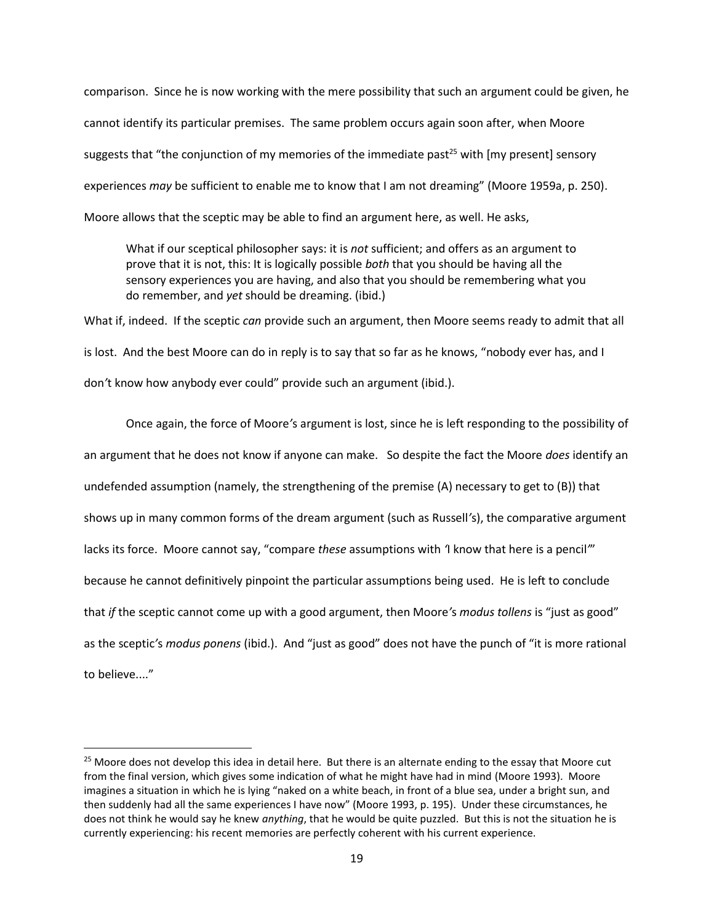comparison. Since he is now working with the mere possibility that such an argument could be given, he cannot identify its particular premises. The same problem occurs again soon after, when Moore suggests that "the conjunction of my memories of the immediate past<sup>25</sup> with [my present] sensory experiences *may* be sufficient to enable me to know that I am not dreaming" (Moore 1959a, p. 250). Moore allows that the sceptic may be able to find an argument here, as well. He asks,

What if our sceptical philosopher says: it is *not* sufficient; and offers as an argument to prove that it is not, this: It is logically possible *both* that you should be having all the sensory experiences you are having, and also that you should be remembering what you do remember, and *yet* should be dreaming. (ibid.)

What if, indeed. If the sceptic *can* provide such an argument, then Moore seems ready to admit that all is lost. And the best Moore can do in reply is to say that so far as he knows, "nobody ever has, and I don*'*t know how anybody ever could" provide such an argument (ibid.).

Once again, the force of Moore*'*s argument is lost, since he is left responding to the possibility of an argument that he does not know if anyone can make. So despite the fact the Moore *does* identify an undefended assumption (namely, the strengthening of the premise (A) necessary to get to (B)) that shows up in many common forms of the dream argument (such as Russell*'*s), the comparative argument lacks its force. Moore cannot say, "compare *these* assumptions with *'*I know that here is a pencil*'*" because he cannot definitively pinpoint the particular assumptions being used. He is left to conclude that *if* the sceptic cannot come up with a good argument, then Moore*'*s *modus tollens* is "just as good" as the sceptic*'*s *modus ponens* (ibid.). And "just as good" does not have the punch of "it is more rational to believe...."

 $\overline{a}$ 

<sup>&</sup>lt;sup>25</sup> Moore does not develop this idea in detail here. But there is an alternate ending to the essay that Moore cut from the final version, which gives some indication of what he might have had in mind (Moore 1993). Moore imagines a situation in which he is lying "naked on a white beach, in front of a blue sea, under a bright sun, and then suddenly had all the same experiences I have now" (Moore 1993, p. 195). Under these circumstances, he does not think he would say he knew *anything*, that he would be quite puzzled. But this is not the situation he is currently experiencing: his recent memories are perfectly coherent with his current experience.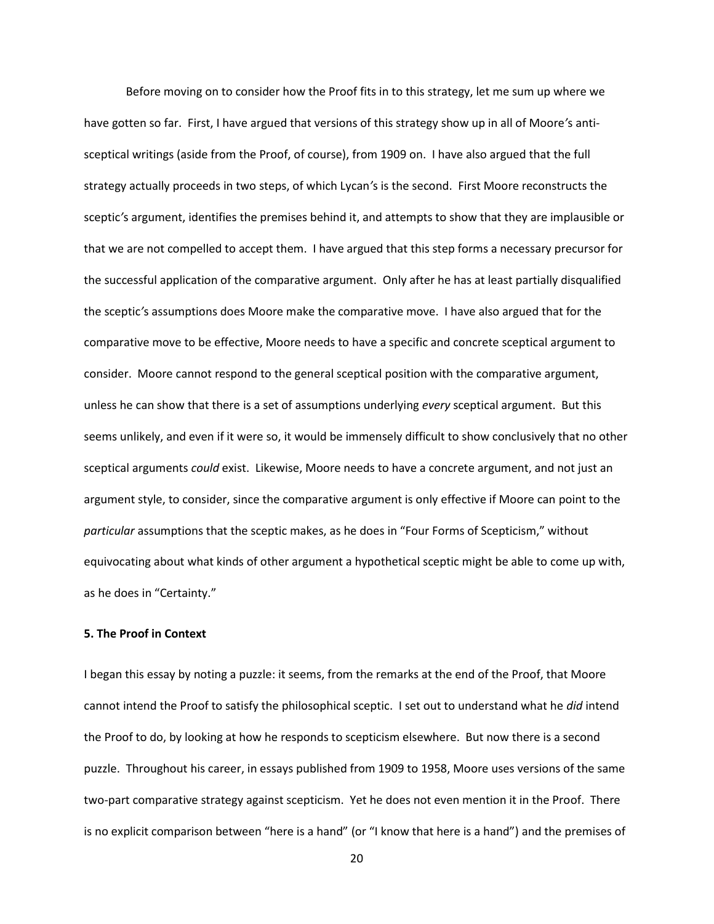Before moving on to consider how the Proof fits in to this strategy, let me sum up where we have gotten so far. First, I have argued that versions of this strategy show up in all of Moore*'*s antisceptical writings (aside from the Proof, of course), from 1909 on. I have also argued that the full strategy actually proceeds in two steps, of which Lycan*'*s is the second. First Moore reconstructs the sceptic*'*s argument, identifies the premises behind it, and attempts to show that they are implausible or that we are not compelled to accept them. I have argued that this step forms a necessary precursor for the successful application of the comparative argument. Only after he has at least partially disqualified the sceptic*'*s assumptions does Moore make the comparative move. I have also argued that for the comparative move to be effective, Moore needs to have a specific and concrete sceptical argument to consider. Moore cannot respond to the general sceptical position with the comparative argument, unless he can show that there is a set of assumptions underlying *every* sceptical argument. But this seems unlikely, and even if it were so, it would be immensely difficult to show conclusively that no other sceptical arguments *could* exist. Likewise, Moore needs to have a concrete argument, and not just an argument style, to consider, since the comparative argument is only effective if Moore can point to the *particular* assumptions that the sceptic makes, as he does in "Four Forms of Scepticism," without equivocating about what kinds of other argument a hypothetical sceptic might be able to come up with, as he does in "Certainty."

## **5. The Proof in Context**

I began this essay by noting a puzzle: it seems, from the remarks at the end of the Proof, that Moore cannot intend the Proof to satisfy the philosophical sceptic. I set out to understand what he *did* intend the Proof to do, by looking at how he responds to scepticism elsewhere. But now there is a second puzzle. Throughout his career, in essays published from 1909 to 1958, Moore uses versions of the same two-part comparative strategy against scepticism. Yet he does not even mention it in the Proof. There is no explicit comparison between "here is a hand" (or "I know that here is a hand") and the premises of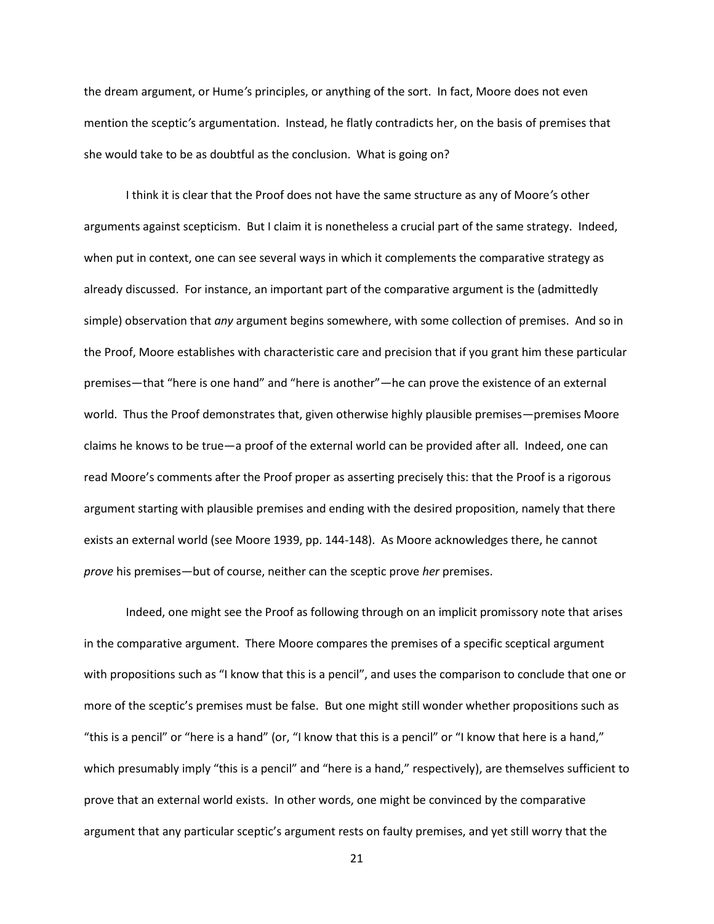the dream argument, or Hume*'*s principles, or anything of the sort. In fact, Moore does not even mention the sceptic*'*s argumentation. Instead, he flatly contradicts her, on the basis of premises that she would take to be as doubtful as the conclusion. What is going on?

I think it is clear that the Proof does not have the same structure as any of Moore*'*s other arguments against scepticism. But I claim it is nonetheless a crucial part of the same strategy. Indeed, when put in context, one can see several ways in which it complements the comparative strategy as already discussed. For instance, an important part of the comparative argument is the (admittedly simple) observation that *any* argument begins somewhere, with some collection of premises. And so in the Proof, Moore establishes with characteristic care and precision that if you grant him these particular premises—that "here is one hand" and "here is another"—he can prove the existence of an external world. Thus the Proof demonstrates that, given otherwise highly plausible premises—premises Moore claims he knows to be true—a proof of the external world can be provided after all. Indeed, one can read Moore's comments after the Proof proper as asserting precisely this: that the Proof is a rigorous argument starting with plausible premises and ending with the desired proposition, namely that there exists an external world (see Moore 1939, pp. 144-148). As Moore acknowledges there, he cannot *prove* his premises—but of course, neither can the sceptic prove *her* premises.

Indeed, one might see the Proof as following through on an implicit promissory note that arises in the comparative argument. There Moore compares the premises of a specific sceptical argument with propositions such as "I know that this is a pencil", and uses the comparison to conclude that one or more of the sceptic's premises must be false. But one might still wonder whether propositions such as "this is a pencil" or "here is a hand" (or, "I know that this is a pencil" or "I know that here is a hand," which presumably imply "this is a pencil" and "here is a hand," respectively), are themselves sufficient to prove that an external world exists. In other words, one might be convinced by the comparative argument that any particular sceptic's argument rests on faulty premises, and yet still worry that the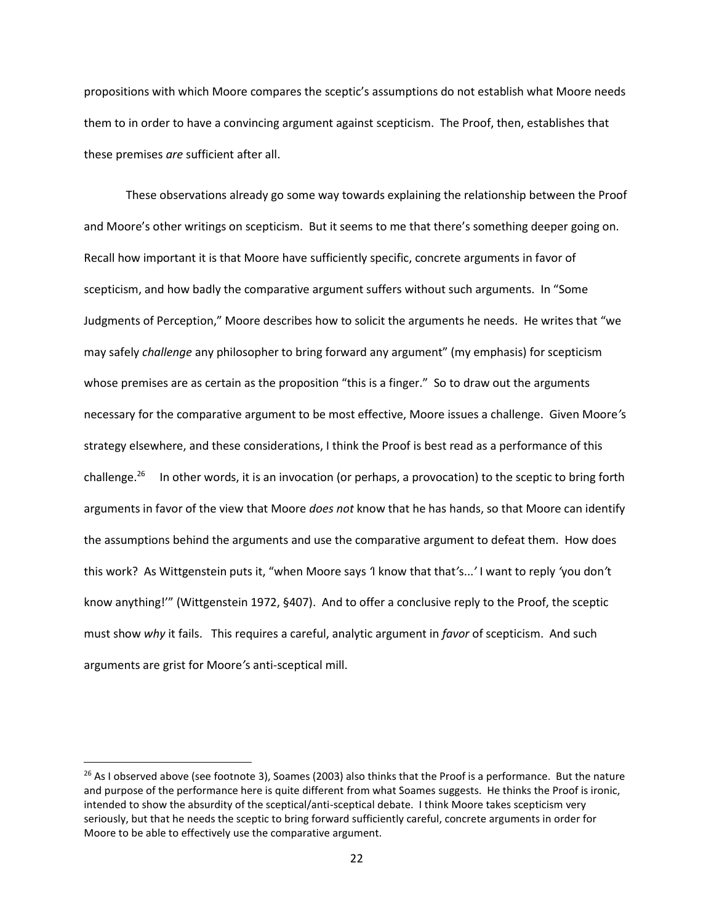propositions with which Moore compares the sceptic's assumptions do not establish what Moore needs them to in order to have a convincing argument against scepticism. The Proof, then, establishes that these premises *are* sufficient after all.

<span id="page-21-0"></span>These observations already go some way towards explaining the relationship between the Proof and Moore's other writings on scepticism. But it seems to me that there's something deeper going on. Recall how important it is that Moore have sufficiently specific, concrete arguments in favor of scepticism, and how badly the comparative argument suffers without such arguments. In "Some Judgments of Perception," Moore describes how to solicit the arguments he needs. He writes that "we may safely *challenge* any philosopher to bring forward any argument" (my emphasis) for scepticism whose premises are as certain as the proposition "this is a finger." So to draw out the arguments necessary for the comparative argument to be most effective, Moore issues a challenge. Given Moore*'*s strategy elsewhere, and these considerations, I think the Proof is best read as a performance of this challenge.<sup>26</sup> In other words, it is an invocation (or perhaps, a provocation) to the sceptic to bring forth arguments in favor of the view that Moore *does not* know that he has hands, so that Moore can identify the assumptions behind the arguments and use the comparative argument to defeat them. How does this work? As Wittgenstein puts it, "when Moore says *'*I know that that*'*s...*'* I want to reply *'*you don*'*t know anything!'" (Wittgenstein 1972, §407). And to offer a conclusive reply to the Proof, the sceptic must show *why* it fails. This requires a careful, analytic argument in *favor* of scepticism. And such arguments are grist for Moore*'*s anti-sceptical mill.

l

 $26$  As I observed above (see footnote [3\)](#page-1-0), Soames (2003) also thinks that the Proof is a performance. But the nature and purpose of the performance here is quite different from what Soames suggests. He thinks the Proof is ironic, intended to show the absurdity of the sceptical/anti-sceptical debate. I think Moore takes scepticism very seriously, but that he needs the sceptic to bring forward sufficiently careful, concrete arguments in order for Moore to be able to effectively use the comparative argument.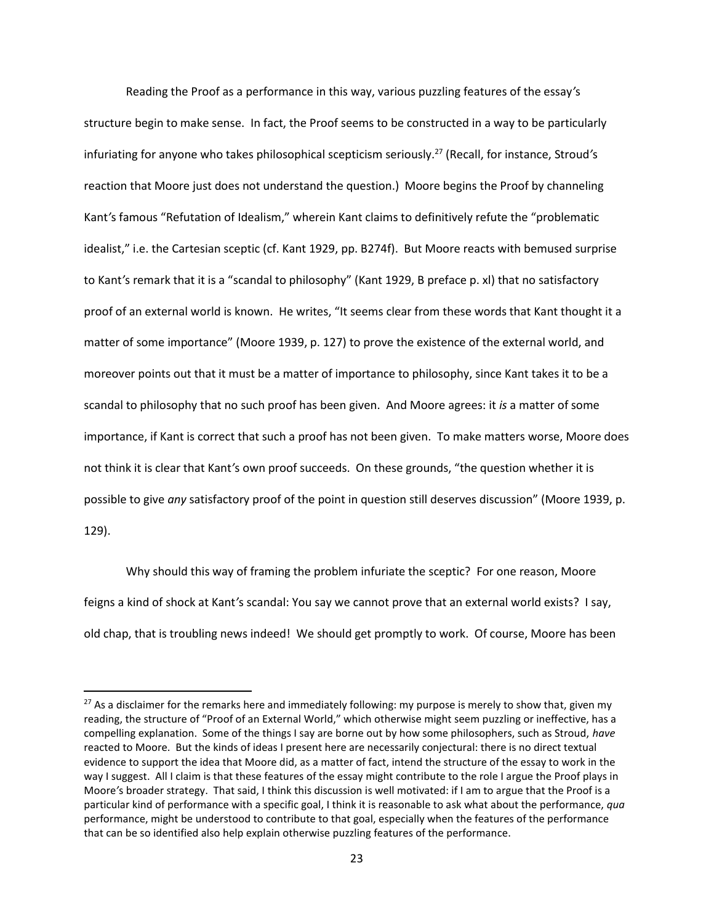Reading the Proof as a performance in this way, various puzzling features of the essay*'*s structure begin to make sense. In fact, the Proof seems to be constructed in a way to be particularly infuriating for anyone who takes philosophical scepticism seriously.<sup>27</sup> (Recall, for instance, Stroud*'*s reaction that Moore just does not understand the question.) Moore begins the Proof by channeling Kant*'*s famous "Refutation of Idealism," wherein Kant claims to definitively refute the "problematic idealist," i.e. the Cartesian sceptic (cf. Kant 1929, pp. B274f). But Moore reacts with bemused surprise to Kant*'*s remark that it is a "scandal to philosophy" (Kant 1929, B preface p. xl) that no satisfactory proof of an external world is known. He writes, "It seems clear from these words that Kant thought it a matter of some importance" (Moore 1939, p. 127) to prove the existence of the external world, and moreover points out that it must be a matter of importance to philosophy, since Kant takes it to be a scandal to philosophy that no such proof has been given. And Moore agrees: it *is* a matter of some importance, if Kant is correct that such a proof has not been given. To make matters worse, Moore does not think it is clear that Kant*'*s own proof succeeds. On these grounds, "the question whether it is possible to give *any* satisfactory proof of the point in question still deserves discussion" (Moore 1939, p. 129).

Why should this way of framing the problem infuriate the sceptic? For one reason, Moore feigns a kind of shock at Kant*'*s scandal: You say we cannot prove that an external world exists? I say, old chap, that is troubling news indeed! We should get promptly to work. Of course, Moore has been

<sup>&</sup>lt;sup>27</sup> As a disclaimer for the remarks here and immediately following: my purpose is merely to show that, given my reading, the structure of "Proof of an External World," which otherwise might seem puzzling or ineffective, has a compelling explanation. Some of the things I say are borne out by how some philosophers, such as Stroud, *have* reacted to Moore. But the kinds of ideas I present here are necessarily conjectural: there is no direct textual evidence to support the idea that Moore did, as a matter of fact, intend the structure of the essay to work in the way I suggest. All I claim is that these features of the essay might contribute to the role I argue the Proof plays in Moore*'*s broader strategy. That said, I think this discussion is well motivated: if I am to argue that the Proof is a particular kind of performance with a specific goal, I think it is reasonable to ask what about the performance, *qua* performance, might be understood to contribute to that goal, especially when the features of the performance that can be so identified also help explain otherwise puzzling features of the performance.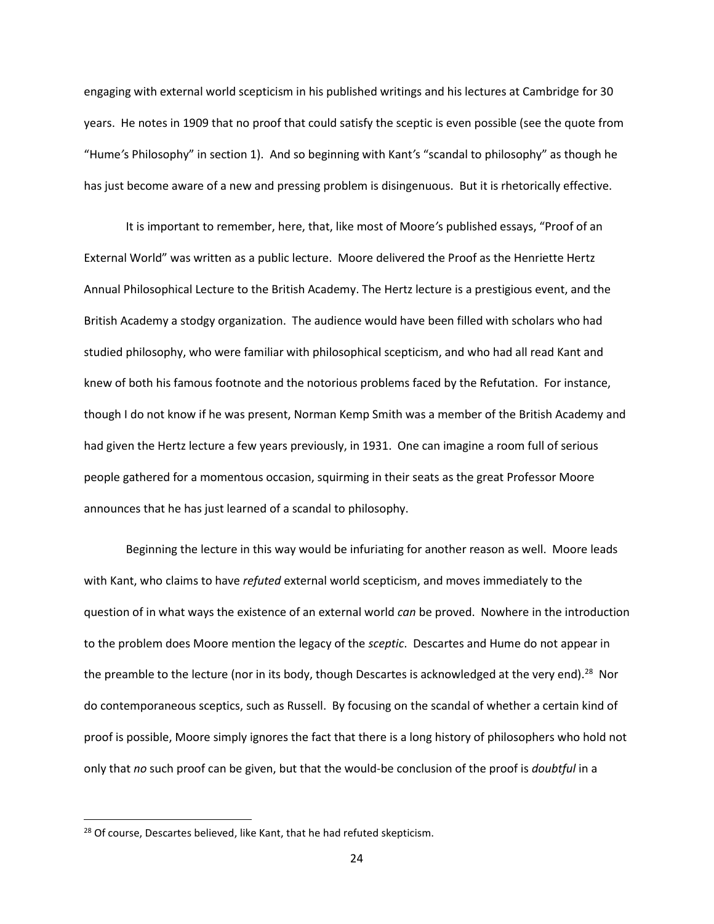engaging with external world scepticism in his published writings and his lectures at Cambridge for 30 years. He notes in 1909 that no proof that could satisfy the sceptic is even possible (see the quote from "Hume*'*s Philosophy" in section 1). And so beginning with Kant*'*s "scandal to philosophy" as though he has just become aware of a new and pressing problem is disingenuous. But it is rhetorically effective.

It is important to remember, here, that, like most of Moore*'*s published essays, "Proof of an External World" was written as a public lecture. Moore delivered the Proof as the Henriette Hertz Annual Philosophical Lecture to the British Academy. The Hertz lecture is a prestigious event, and the British Academy a stodgy organization. The audience would have been filled with scholars who had studied philosophy, who were familiar with philosophical scepticism, and who had all read Kant and knew of both his famous footnote and the notorious problems faced by the Refutation. For instance, though I do not know if he was present, Norman Kemp Smith was a member of the British Academy and had given the Hertz lecture a few years previously, in 1931. One can imagine a room full of serious people gathered for a momentous occasion, squirming in their seats as the great Professor Moore announces that he has just learned of a scandal to philosophy.

Beginning the lecture in this way would be infuriating for another reason as well. Moore leads with Kant, who claims to have *refuted* external world scepticism, and moves immediately to the question of in what ways the existence of an external world *can* be proved. Nowhere in the introduction to the problem does Moore mention the legacy of the *sceptic*. Descartes and Hume do not appear in the preamble to the lecture (nor in its body, though Descartes is acknowledged at the very end).<sup>28</sup> Nor do contemporaneous sceptics, such as Russell. By focusing on the scandal of whether a certain kind of proof is possible, Moore simply ignores the fact that there is a long history of philosophers who hold not only that *no* such proof can be given, but that the would-be conclusion of the proof is *doubtful* in a

<sup>&</sup>lt;sup>28</sup> Of course, Descartes believed, like Kant, that he had refuted skepticism.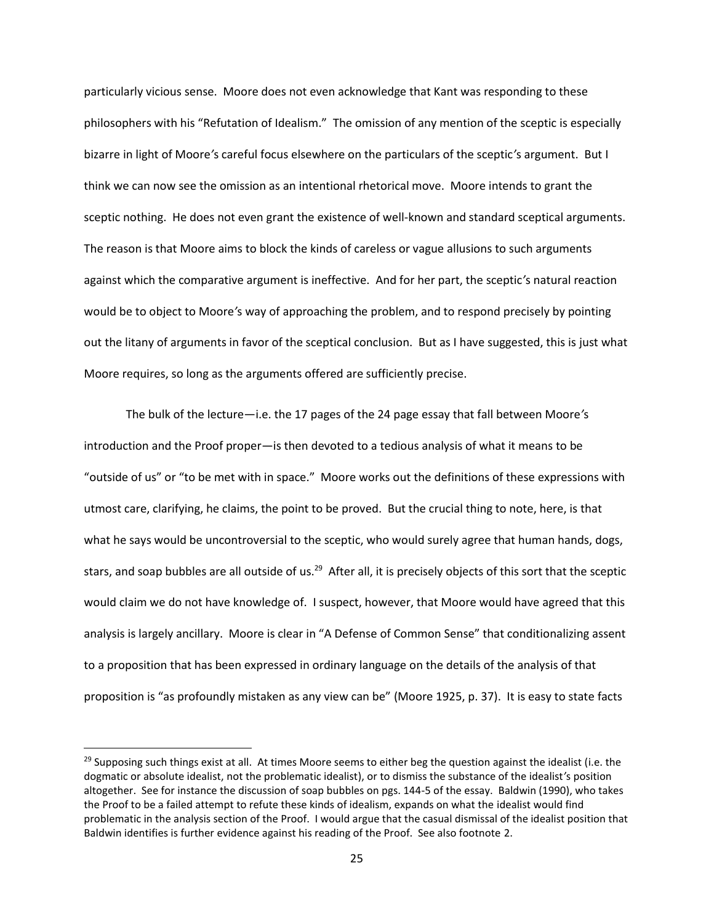particularly vicious sense. Moore does not even acknowledge that Kant was responding to these philosophers with his "Refutation of Idealism." The omission of any mention of the sceptic is especially bizarre in light of Moore*'*s careful focus elsewhere on the particulars of the sceptic*'*s argument. But I think we can now see the omission as an intentional rhetorical move. Moore intends to grant the sceptic nothing. He does not even grant the existence of well-known and standard sceptical arguments. The reason is that Moore aims to block the kinds of careless or vague allusions to such arguments against which the comparative argument is ineffective. And for her part, the sceptic*'*s natural reaction would be to object to Moore*'*s way of approaching the problem, and to respond precisely by pointing out the litany of arguments in favor of the sceptical conclusion. But as I have suggested, this is just what Moore requires, so long as the arguments offered are sufficiently precise.

The bulk of the lecture—i.e. the 17 pages of the 24 page essay that fall between Moore*'*s introduction and the Proof proper—is then devoted to a tedious analysis of what it means to be "outside of us" or "to be met with in space." Moore works out the definitions of these expressions with utmost care, clarifying, he claims, the point to be proved. But the crucial thing to note, here, is that what he says would be uncontroversial to the sceptic, who would surely agree that human hands, dogs, stars, and soap bubbles are all outside of us.<sup>29</sup> After all, it is precisely objects of this sort that the sceptic would claim we do not have knowledge of. I suspect, however, that Moore would have agreed that this analysis is largely ancillary. Moore is clear in "A Defense of Common Sense" that conditionalizing assent to a proposition that has been expressed in ordinary language on the details of the analysis of that proposition is "as profoundly mistaken as any view can be" (Moore 1925, p. 37). It is easy to state facts

 $\overline{a}$ 

 $29$  Supposing such things exist at all. At times Moore seems to either beg the question against the idealist (i.e. the dogmatic or absolute idealist, not the problematic idealist), or to dismiss the substance of the idealist*'*s position altogether. See for instance the discussion of soap bubbles on pgs. 144-5 of the essay. Baldwin (1990), who takes the Proof to be a failed attempt to refute these kinds of idealism, expands on what the idealist would find problematic in the analysis section of the Proof. I would argue that the casual dismissal of the idealist position that Baldwin identifies is further evidence against his reading of the Proof. See also footnote [2.](#page-0-0)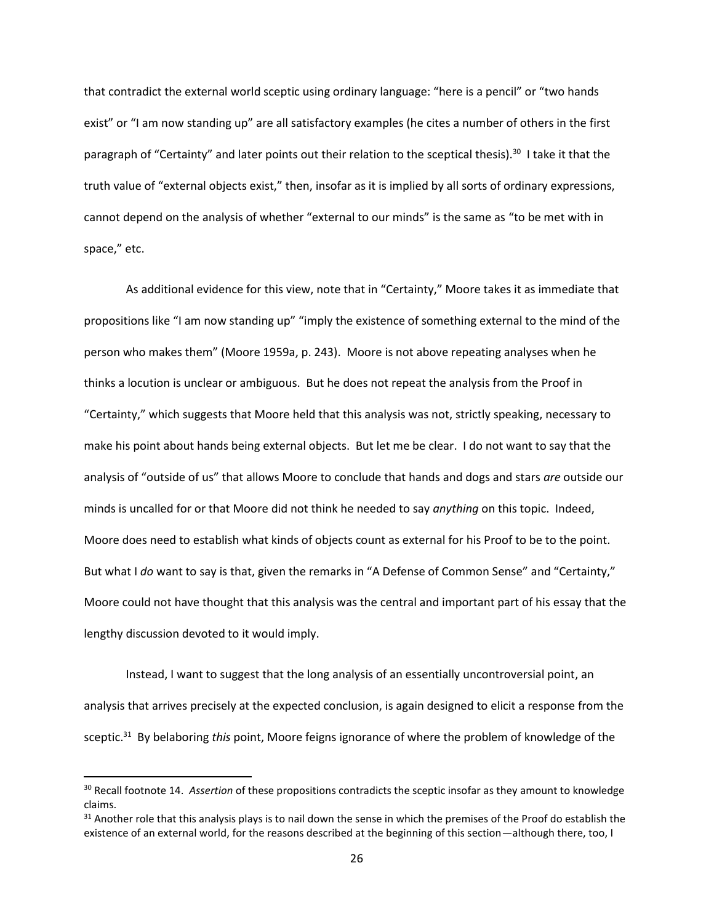that contradict the external world sceptic using ordinary language: "here is a pencil" or "two hands exist" or "I am now standing up" are all satisfactory examples (he cites a number of others in the first paragraph of "Certainty" and later points out their relation to the sceptical thesis).<sup>30</sup> I take it that the truth value of "external objects exist," then, insofar as it is implied by all sorts of ordinary expressions, cannot depend on the analysis of whether "external to our minds" is the same as "to be met with in space," etc.

As additional evidence for this view, note that in "Certainty," Moore takes it as immediate that propositions like "I am now standing up" "imply the existence of something external to the mind of the person who makes them" (Moore 1959a, p. 243). Moore is not above repeating analyses when he thinks a locution is unclear or ambiguous. But he does not repeat the analysis from the Proof in "Certainty," which suggests that Moore held that this analysis was not, strictly speaking, necessary to make his point about hands being external objects. But let me be clear. I do not want to say that the analysis of "outside of us" that allows Moore to conclude that hands and dogs and stars *are* outside our minds is uncalled for or that Moore did not think he needed to say *anything* on this topic. Indeed, Moore does need to establish what kinds of objects count as external for his Proof to be to the point. But what I *do* want to say is that, given the remarks in "A Defense of Common Sense" and "Certainty," Moore could not have thought that this analysis was the central and important part of his essay that the lengthy discussion devoted to it would imply.

Instead, I want to suggest that the long analysis of an essentially uncontroversial point, an analysis that arrives precisely at the expected conclusion, is again designed to elicit a response from the sceptic.<sup>31</sup> By belaboring *this* point, Moore feigns ignorance of where the problem of knowledge of the

 $\overline{a}$ 

<sup>30</sup> Recall footnote [14.](#page-6-0) *Assertion* of these propositions contradicts the sceptic insofar as they amount to knowledge claims.

 $31$  Another role that this analysis plays is to nail down the sense in which the premises of the Proof do establish the existence of an external world, for the reasons described at the beginning of this section—although there, too, I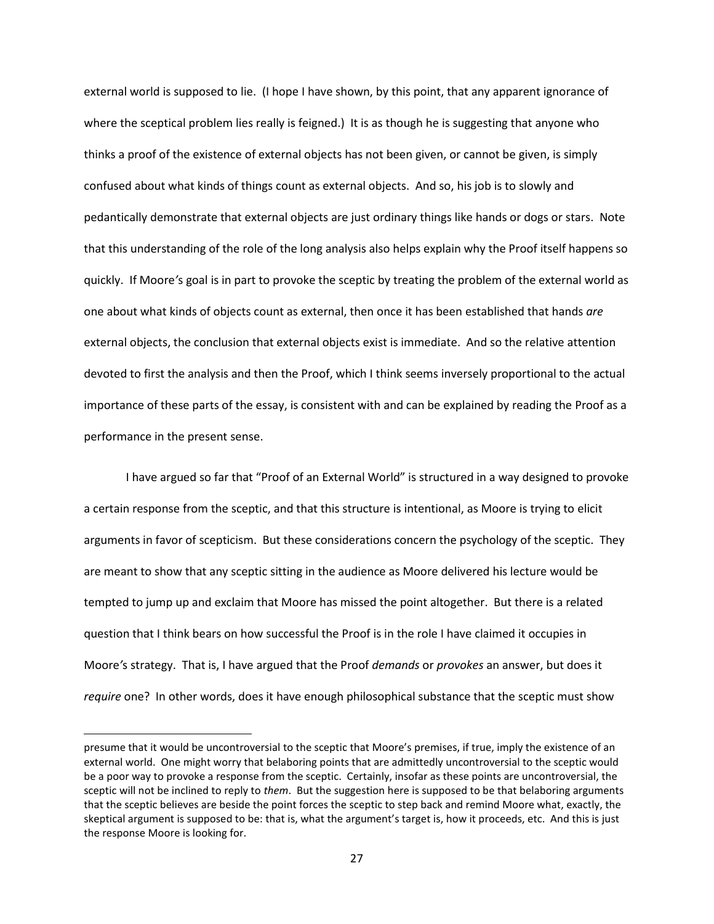external world is supposed to lie. (I hope I have shown, by this point, that any apparent ignorance of where the sceptical problem lies really is feigned.) It is as though he is suggesting that anyone who thinks a proof of the existence of external objects has not been given, or cannot be given, is simply confused about what kinds of things count as external objects. And so, his job is to slowly and pedantically demonstrate that external objects are just ordinary things like hands or dogs or stars. Note that this understanding of the role of the long analysis also helps explain why the Proof itself happens so quickly. If Moore*'*s goal is in part to provoke the sceptic by treating the problem of the external world as one about what kinds of objects count as external, then once it has been established that hands *are* external objects, the conclusion that external objects exist is immediate. And so the relative attention devoted to first the analysis and then the Proof, which I think seems inversely proportional to the actual importance of these parts of the essay, is consistent with and can be explained by reading the Proof as a performance in the present sense.

I have argued so far that "Proof of an External World" is structured in a way designed to provoke a certain response from the sceptic, and that this structure is intentional, as Moore is trying to elicit arguments in favor of scepticism. But these considerations concern the psychology of the sceptic. They are meant to show that any sceptic sitting in the audience as Moore delivered his lecture would be tempted to jump up and exclaim that Moore has missed the point altogether. But there is a related question that I think bears on how successful the Proof is in the role I have claimed it occupies in Moore*'*s strategy. That is, I have argued that the Proof *demands* or *provokes* an answer, but does it *require* one? In other words, does it have enough philosophical substance that the sceptic must show

presume that it would be uncontroversial to the sceptic that Moore's premises, if true, imply the existence of an external world. One might worry that belaboring points that are admittedly uncontroversial to the sceptic would be a poor way to provoke a response from the sceptic. Certainly, insofar as these points are uncontroversial, the sceptic will not be inclined to reply to *them*. But the suggestion here is supposed to be that belaboring arguments that the sceptic believes are beside the point forces the sceptic to step back and remind Moore what, exactly, the skeptical argument is supposed to be: that is, what the argument's target is, how it proceeds, etc. And this is just the response Moore is looking for.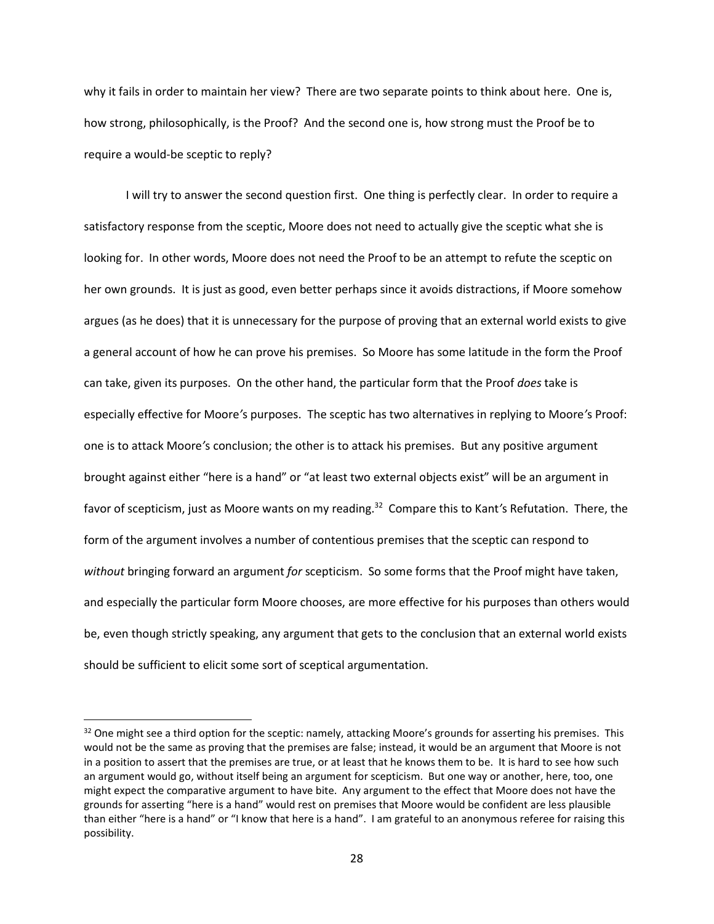why it fails in order to maintain her view? There are two separate points to think about here. One is, how strong, philosophically, is the Proof? And the second one is, how strong must the Proof be to require a would-be sceptic to reply?

I will try to answer the second question first. One thing is perfectly clear. In order to require a satisfactory response from the sceptic, Moore does not need to actually give the sceptic what she is looking for. In other words, Moore does not need the Proof to be an attempt to refute the sceptic on her own grounds. It is just as good, even better perhaps since it avoids distractions, if Moore somehow argues (as he does) that it is unnecessary for the purpose of proving that an external world exists to give a general account of how he can prove his premises. So Moore has some latitude in the form the Proof can take, given its purposes. On the other hand, the particular form that the Proof *does* take is especially effective for Moore*'*s purposes. The sceptic has two alternatives in replying to Moore*'*s Proof: one is to attack Moore*'*s conclusion; the other is to attack his premises. But any positive argument brought against either "here is a hand" or "at least two external objects exist" will be an argument in favor of scepticism, just as Moore wants on my reading.<sup>32</sup> Compare this to Kant's Refutation. There, the form of the argument involves a number of contentious premises that the sceptic can respond to *without* bringing forward an argument *for* scepticism. So some forms that the Proof might have taken, and especially the particular form Moore chooses, are more effective for his purposes than others would be, even though strictly speaking, any argument that gets to the conclusion that an external world exists should be sufficient to elicit some sort of sceptical argumentation.

<sup>&</sup>lt;sup>32</sup> One might see a third option for the sceptic: namely, attacking Moore's grounds for asserting his premises. This would not be the same as proving that the premises are false; instead, it would be an argument that Moore is not in a position to assert that the premises are true, or at least that he knows them to be. It is hard to see how such an argument would go, without itself being an argument for scepticism. But one way or another, here, too, one might expect the comparative argument to have bite. Any argument to the effect that Moore does not have the grounds for asserting "here is a hand" would rest on premises that Moore would be confident are less plausible than either "here is a hand" or "I know that here is a hand". I am grateful to an anonymous referee for raising this possibility.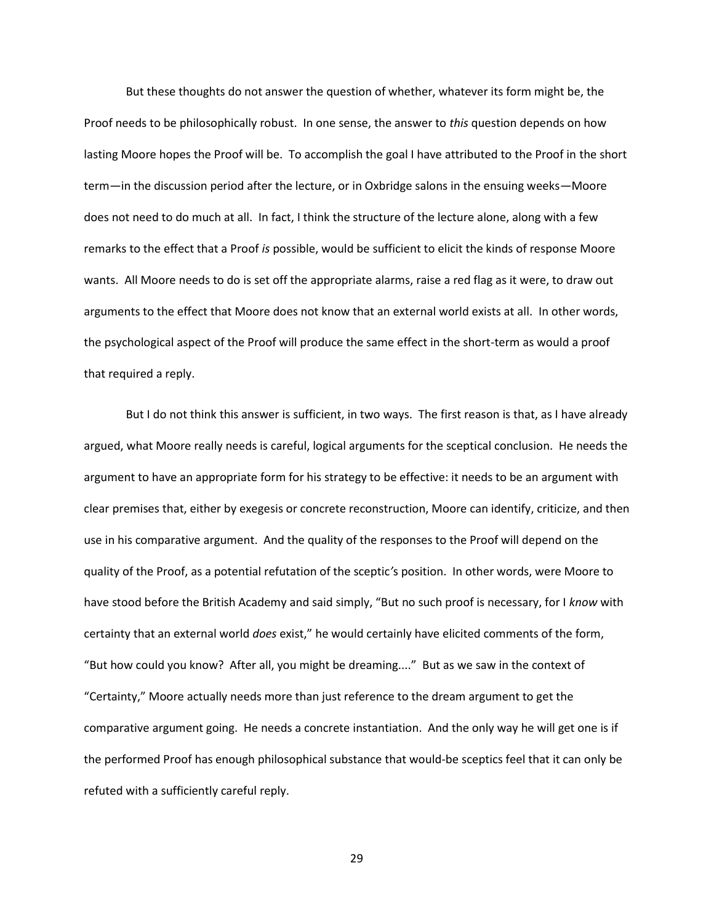But these thoughts do not answer the question of whether, whatever its form might be, the Proof needs to be philosophically robust. In one sense, the answer to *this* question depends on how lasting Moore hopes the Proof will be. To accomplish the goal I have attributed to the Proof in the short term—in the discussion period after the lecture, or in Oxbridge salons in the ensuing weeks—Moore does not need to do much at all. In fact, I think the structure of the lecture alone, along with a few remarks to the effect that a Proof *is* possible, would be sufficient to elicit the kinds of response Moore wants. All Moore needs to do is set off the appropriate alarms, raise a red flag as it were, to draw out arguments to the effect that Moore does not know that an external world exists at all. In other words, the psychological aspect of the Proof will produce the same effect in the short-term as would a proof that required a reply.

But I do not think this answer is sufficient, in two ways. The first reason is that, as I have already argued, what Moore really needs is careful, logical arguments for the sceptical conclusion. He needs the argument to have an appropriate form for his strategy to be effective: it needs to be an argument with clear premises that, either by exegesis or concrete reconstruction, Moore can identify, criticize, and then use in his comparative argument. And the quality of the responses to the Proof will depend on the quality of the Proof, as a potential refutation of the sceptic*'*s position. In other words, were Moore to have stood before the British Academy and said simply, "But no such proof is necessary, for I *know* with certainty that an external world *does* exist," he would certainly have elicited comments of the form, "But how could you know? After all, you might be dreaming...." But as we saw in the context of "Certainty," Moore actually needs more than just reference to the dream argument to get the comparative argument going. He needs a concrete instantiation. And the only way he will get one is if the performed Proof has enough philosophical substance that would-be sceptics feel that it can only be refuted with a sufficiently careful reply.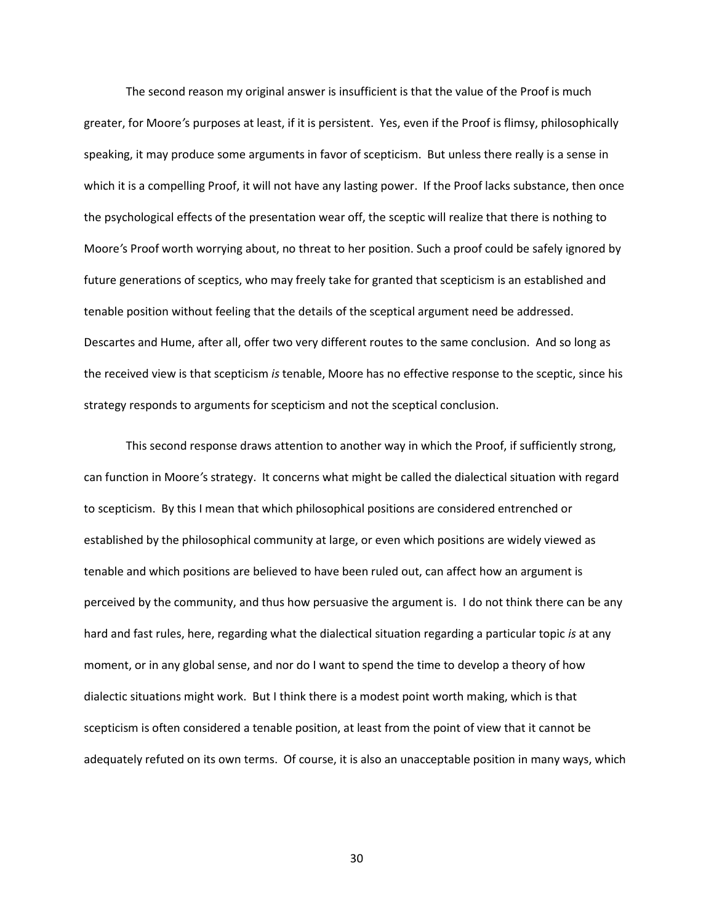The second reason my original answer is insufficient is that the value of the Proof is much greater, for Moore*'*s purposes at least, if it is persistent. Yes, even if the Proof is flimsy, philosophically speaking, it may produce some arguments in favor of scepticism. But unless there really is a sense in which it is a compelling Proof, it will not have any lasting power. If the Proof lacks substance, then once the psychological effects of the presentation wear off, the sceptic will realize that there is nothing to Moore*'*s Proof worth worrying about, no threat to her position. Such a proof could be safely ignored by future generations of sceptics, who may freely take for granted that scepticism is an established and tenable position without feeling that the details of the sceptical argument need be addressed. Descartes and Hume, after all, offer two very different routes to the same conclusion. And so long as the received view is that scepticism *is* tenable, Moore has no effective response to the sceptic, since his strategy responds to arguments for scepticism and not the sceptical conclusion.

This second response draws attention to another way in which the Proof, if sufficiently strong, can function in Moore*'*s strategy. It concerns what might be called the dialectical situation with regard to scepticism. By this I mean that which philosophical positions are considered entrenched or established by the philosophical community at large, or even which positions are widely viewed as tenable and which positions are believed to have been ruled out, can affect how an argument is perceived by the community, and thus how persuasive the argument is. I do not think there can be any hard and fast rules, here, regarding what the dialectical situation regarding a particular topic *is* at any moment, or in any global sense, and nor do I want to spend the time to develop a theory of how dialectic situations might work. But I think there is a modest point worth making, which is that scepticism is often considered a tenable position, at least from the point of view that it cannot be adequately refuted on its own terms. Of course, it is also an unacceptable position in many ways, which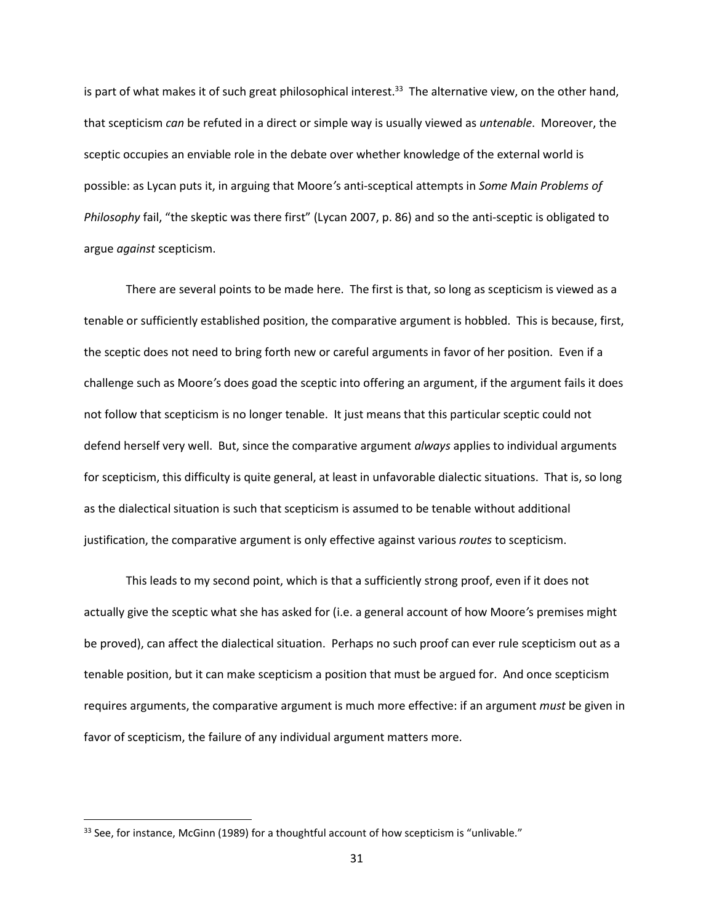is part of what makes it of such great philosophical interest.<sup>33</sup> The alternative view, on the other hand, that scepticism *can* be refuted in a direct or simple way is usually viewed as *untenable*. Moreover, the sceptic occupies an enviable role in the debate over whether knowledge of the external world is possible: as Lycan puts it, in arguing that Moore*'*s anti-sceptical attempts in *Some Main Problems of Philosophy* fail, "the skeptic was there first" (Lycan 2007, p. 86) and so the anti-sceptic is obligated to argue *against* scepticism.

There are several points to be made here. The first is that, so long as scepticism is viewed as a tenable or sufficiently established position, the comparative argument is hobbled. This is because, first, the sceptic does not need to bring forth new or careful arguments in favor of her position. Even if a challenge such as Moore*'*s does goad the sceptic into offering an argument, if the argument fails it does not follow that scepticism is no longer tenable. It just means that this particular sceptic could not defend herself very well. But, since the comparative argument *always* applies to individual arguments for scepticism, this difficulty is quite general, at least in unfavorable dialectic situations. That is, so long as the dialectical situation is such that scepticism is assumed to be tenable without additional justification, the comparative argument is only effective against various *routes* to scepticism.

This leads to my second point, which is that a sufficiently strong proof, even if it does not actually give the sceptic what she has asked for (i.e. a general account of how Moore*'*s premises might be proved), can affect the dialectical situation. Perhaps no such proof can ever rule scepticism out as a tenable position, but it can make scepticism a position that must be argued for. And once scepticism requires arguments, the comparative argument is much more effective: if an argument *must* be given in favor of scepticism, the failure of any individual argument matters more.

<sup>&</sup>lt;sup>33</sup> See, for instance, McGinn (1989) for a thoughtful account of how scepticism is "unlivable."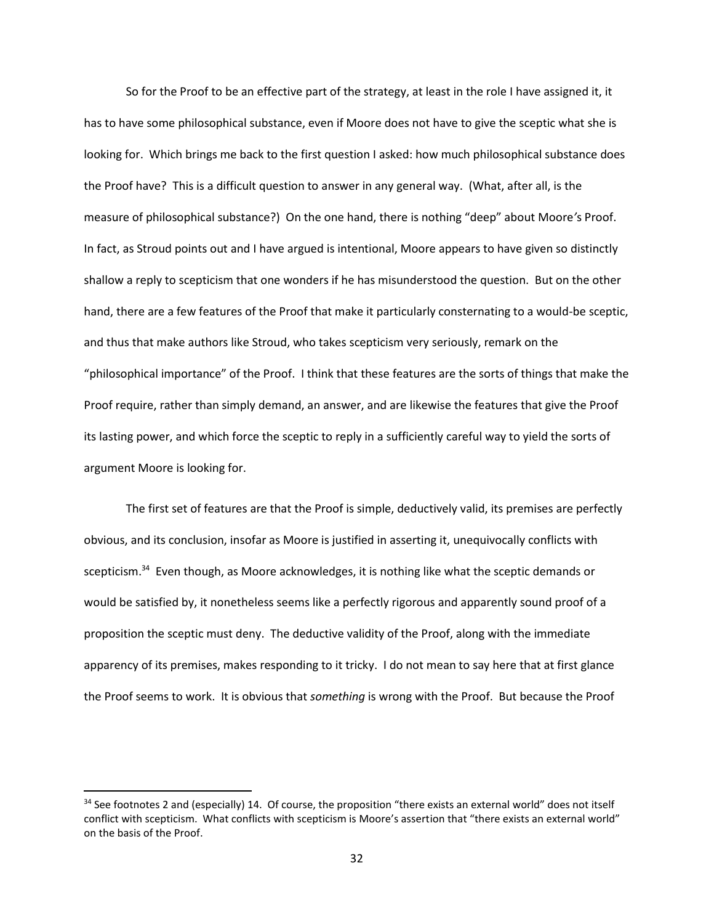So for the Proof to be an effective part of the strategy, at least in the role I have assigned it, it has to have some philosophical substance, even if Moore does not have to give the sceptic what she is looking for. Which brings me back to the first question I asked: how much philosophical substance does the Proof have? This is a difficult question to answer in any general way. (What, after all, is the measure of philosophical substance?) On the one hand, there is nothing "deep" about Moore*'*s Proof. In fact, as Stroud points out and I have argued is intentional, Moore appears to have given so distinctly shallow a reply to scepticism that one wonders if he has misunderstood the question. But on the other hand, there are a few features of the Proof that make it particularly consternating to a would-be sceptic, and thus that make authors like Stroud, who takes scepticism very seriously, remark on the "philosophical importance" of the Proof. I think that these features are the sorts of things that make the Proof require, rather than simply demand, an answer, and are likewise the features that give the Proof its lasting power, and which force the sceptic to reply in a sufficiently careful way to yield the sorts of argument Moore is looking for.

The first set of features are that the Proof is simple, deductively valid, its premises are perfectly obvious, and its conclusion, insofar as Moore is justified in asserting it, unequivocally conflicts with scepticism.<sup>34</sup> Even though, as Moore acknowledges, it is nothing like what the sceptic demands or would be satisfied by, it nonetheless seems like a perfectly rigorous and apparently sound proof of a proposition the sceptic must deny. The deductive validity of the Proof, along with the immediate apparency of its premises, makes responding to it tricky. I do not mean to say here that at first glance the Proof seems to work. It is obvious that *something* is wrong with the Proof. But because the Proof

 $34$  See footnote[s 2](#page-0-0) and (especially[\) 14](#page-6-0). Of course, the proposition "there exists an external world" does not itself conflict with scepticism. What conflicts with scepticism is Moore's assertion that "there exists an external world" on the basis of the Proof.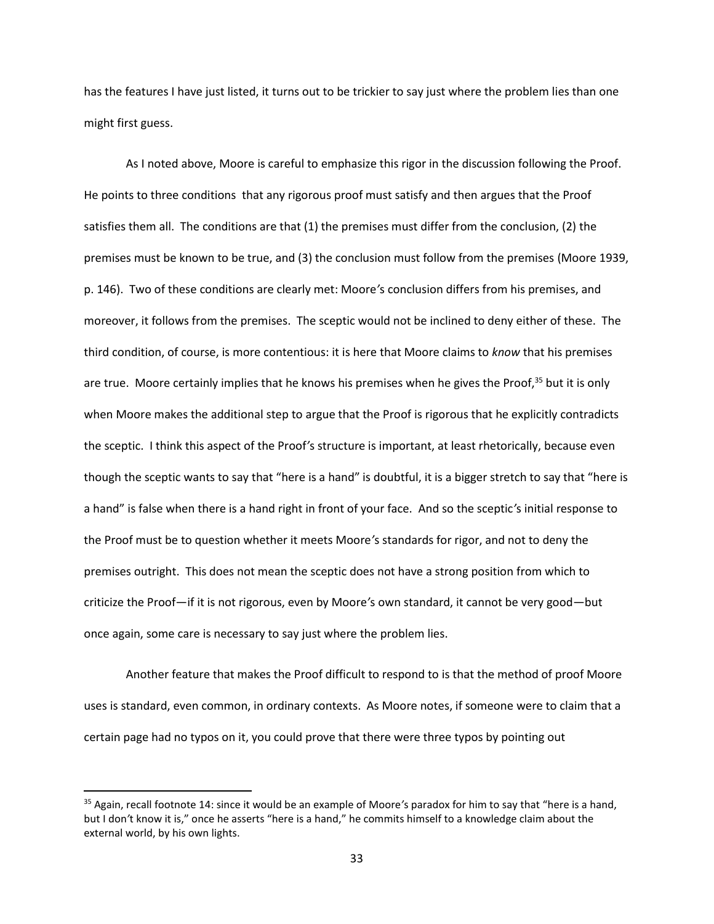has the features I have just listed, it turns out to be trickier to say just where the problem lies than one might first guess.

As I noted above, Moore is careful to emphasize this rigor in the discussion following the Proof. He points to three conditions that any rigorous proof must satisfy and then argues that the Proof satisfies them all. The conditions are that (1) the premises must differ from the conclusion, (2) the premises must be known to be true, and (3) the conclusion must follow from the premises (Moore 1939, p. 146). Two of these conditions are clearly met: Moore*'*s conclusion differs from his premises, and moreover, it follows from the premises. The sceptic would not be inclined to deny either of these. The third condition, of course, is more contentious: it is here that Moore claims to *know* that his premises are true. Moore certainly implies that he knows his premises when he gives the Proof, $35$  but it is only when Moore makes the additional step to argue that the Proof is rigorous that he explicitly contradicts the sceptic. I think this aspect of the Proof*'*s structure is important, at least rhetorically, because even though the sceptic wants to say that "here is a hand" is doubtful, it is a bigger stretch to say that "here is a hand" is false when there is a hand right in front of your face. And so the sceptic*'*s initial response to the Proof must be to question whether it meets Moore*'*s standards for rigor, and not to deny the premises outright. This does not mean the sceptic does not have a strong position from which to criticize the Proof—if it is not rigorous, even by Moore*'*s own standard, it cannot be very good—but once again, some care is necessary to say just where the problem lies.

Another feature that makes the Proof difficult to respond to is that the method of proof Moore uses is standard, even common, in ordinary contexts. As Moore notes, if someone were to claim that a certain page had no typos on it, you could prove that there were three typos by pointing out

<sup>35</sup> Again, recall footnote [14:](#page-6-0) since it would be an example of Moore*'*s paradox for him to say that "here is a hand, but I don*'*t know it is," once he asserts "here is a hand," he commits himself to a knowledge claim about the external world, by his own lights.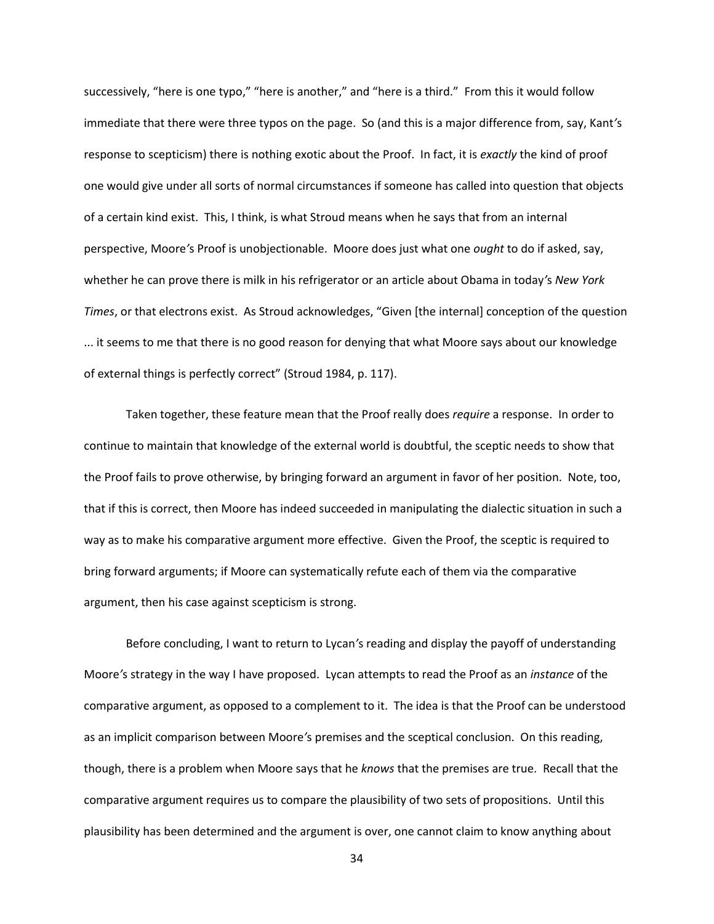successively, "here is one typo," "here is another," and "here is a third." From this it would follow immediate that there were three typos on the page. So (and this is a major difference from, say, Kant*'*s response to scepticism) there is nothing exotic about the Proof. In fact, it is *exactly* the kind of proof one would give under all sorts of normal circumstances if someone has called into question that objects of a certain kind exist. This, I think, is what Stroud means when he says that from an internal perspective, Moore*'*s Proof is unobjectionable. Moore does just what one *ought* to do if asked, say, whether he can prove there is milk in his refrigerator or an article about Obama in today*'*s *New York Times*, or that electrons exist. As Stroud acknowledges, "Given [the internal] conception of the question ... it seems to me that there is no good reason for denying that what Moore says about our knowledge of external things is perfectly correct" (Stroud 1984, p. 117).

Taken together, these feature mean that the Proof really does *require* a response. In order to continue to maintain that knowledge of the external world is doubtful, the sceptic needs to show that the Proof fails to prove otherwise, by bringing forward an argument in favor of her position. Note, too, that if this is correct, then Moore has indeed succeeded in manipulating the dialectic situation in such a way as to make his comparative argument more effective. Given the Proof, the sceptic is required to bring forward arguments; if Moore can systematically refute each of them via the comparative argument, then his case against scepticism is strong.

Before concluding, I want to return to Lycan*'*s reading and display the payoff of understanding Moore*'*s strategy in the way I have proposed. Lycan attempts to read the Proof as an *instance* of the comparative argument, as opposed to a complement to it. The idea is that the Proof can be understood as an implicit comparison between Moore*'*s premises and the sceptical conclusion. On this reading, though, there is a problem when Moore says that he *knows* that the premises are true. Recall that the comparative argument requires us to compare the plausibility of two sets of propositions. Until this plausibility has been determined and the argument is over, one cannot claim to know anything about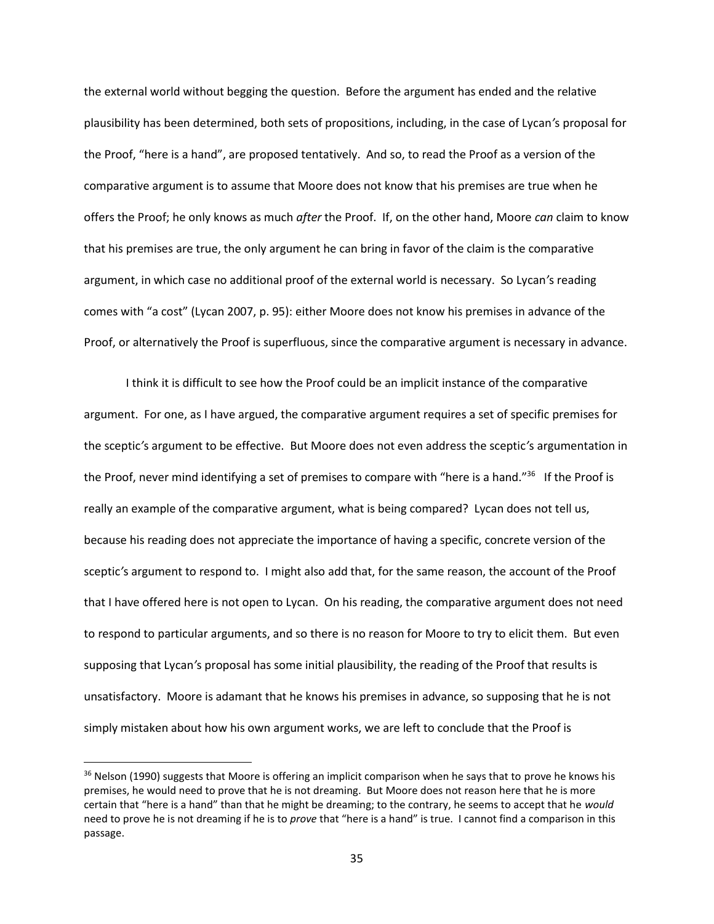the external world without begging the question. Before the argument has ended and the relative plausibility has been determined, both sets of propositions, including, in the case of Lycan*'*s proposal for the Proof, "here is a hand", are proposed tentatively. And so, to read the Proof as a version of the comparative argument is to assume that Moore does not know that his premises are true when he offers the Proof; he only knows as much *after* the Proof. If, on the other hand, Moore *can* claim to know that his premises are true, the only argument he can bring in favor of the claim is the comparative argument, in which case no additional proof of the external world is necessary. So Lycan*'*s reading comes with "a cost" (Lycan 2007, p. 95): either Moore does not know his premises in advance of the Proof, or alternatively the Proof is superfluous, since the comparative argument is necessary in advance.

I think it is difficult to see how the Proof could be an implicit instance of the comparative argument. For one, as I have argued, the comparative argument requires a set of specific premises for the sceptic*'*s argument to be effective. But Moore does not even address the sceptic*'*s argumentation in the Proof, never mind identifying a set of premises to compare with "here is a hand."<sup>36</sup> If the Proof is really an example of the comparative argument, what is being compared? Lycan does not tell us, because his reading does not appreciate the importance of having a specific, concrete version of the sceptic*'*s argument to respond to. I might also add that, for the same reason, the account of the Proof that I have offered here is not open to Lycan. On his reading, the comparative argument does not need to respond to particular arguments, and so there is no reason for Moore to try to elicit them. But even supposing that Lycan*'*s proposal has some initial plausibility, the reading of the Proof that results is unsatisfactory. Moore is adamant that he knows his premises in advance, so supposing that he is not simply mistaken about how his own argument works, we are left to conclude that the Proof is

l

<sup>&</sup>lt;sup>36</sup> Nelson (1990) suggests that Moore is offering an implicit comparison when he says that to prove he knows his premises, he would need to prove that he is not dreaming. But Moore does not reason here that he is more certain that "here is a hand" than that he might be dreaming; to the contrary, he seems to accept that he *would* need to prove he is not dreaming if he is to *prove* that "here is a hand" is true. I cannot find a comparison in this passage.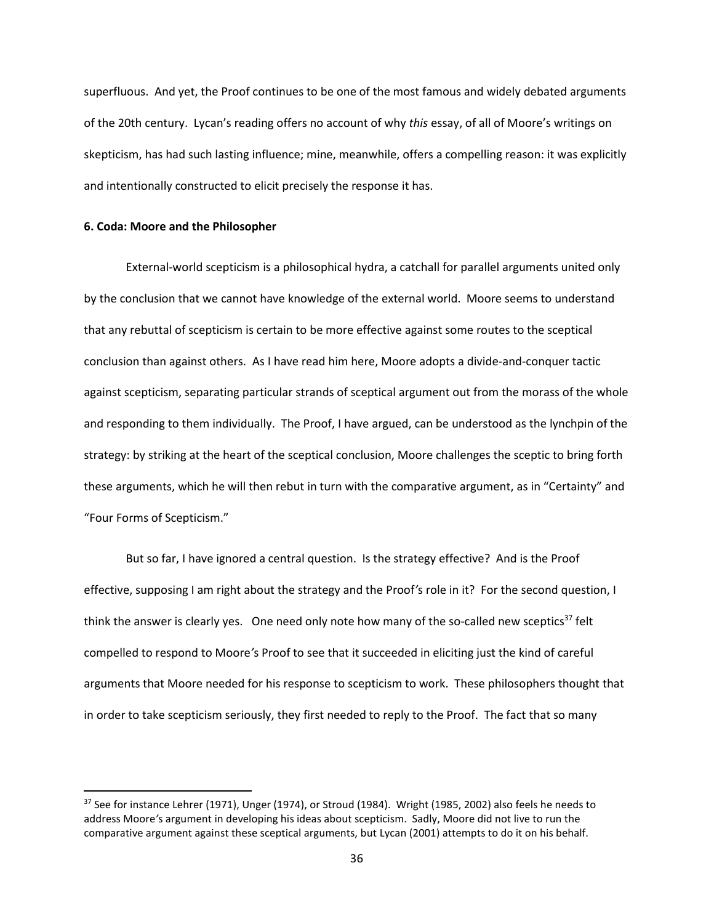superfluous. And yet, the Proof continues to be one of the most famous and widely debated arguments of the 20th century. Lycan's reading offers no account of why *this* essay, of all of Moore's writings on skepticism, has had such lasting influence; mine, meanwhile, offers a compelling reason: it was explicitly and intentionally constructed to elicit precisely the response it has.

### **6. Coda: Moore and the Philosopher**

 $\overline{\phantom{a}}$ 

External-world scepticism is a philosophical hydra, a catchall for parallel arguments united only by the conclusion that we cannot have knowledge of the external world. Moore seems to understand that any rebuttal of scepticism is certain to be more effective against some routes to the sceptical conclusion than against others. As I have read him here, Moore adopts a divide-and-conquer tactic against scepticism, separating particular strands of sceptical argument out from the morass of the whole and responding to them individually. The Proof, I have argued, can be understood as the lynchpin of the strategy: by striking at the heart of the sceptical conclusion, Moore challenges the sceptic to bring forth these arguments, which he will then rebut in turn with the comparative argument, as in "Certainty" and "Four Forms of Scepticism."

But so far, I have ignored a central question. Is the strategy effective? And is the Proof effective, supposing I am right about the strategy and the Proof*'*s role in it? For the second question, I think the answer is clearly yes. One need only note how many of the so-called new sceptics<sup>37</sup> felt compelled to respond to Moore*'*s Proof to see that it succeeded in eliciting just the kind of careful arguments that Moore needed for his response to scepticism to work. These philosophers thought that in order to take scepticism seriously, they first needed to reply to the Proof. The fact that so many

<sup>&</sup>lt;sup>37</sup> See for instance Lehrer (1971), Unger (1974), or Stroud (1984). Wright (1985, 2002) also feels he needs to address Moore*'*s argument in developing his ideas about scepticism. Sadly, Moore did not live to run the comparative argument against these sceptical arguments, but Lycan (2001) attempts to do it on his behalf.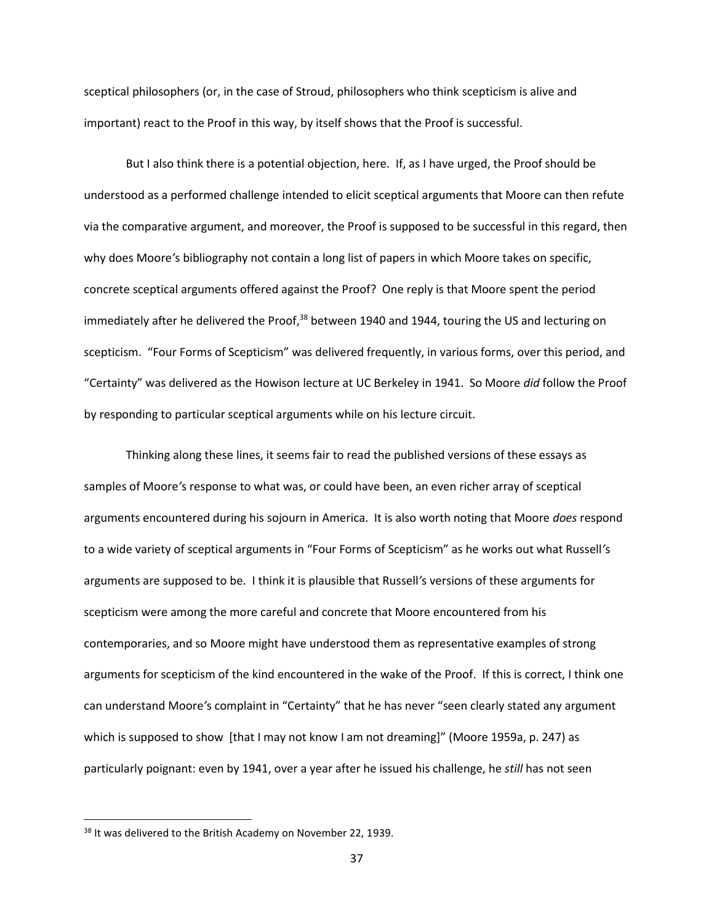sceptical philosophers (or, in the case of Stroud, philosophers who think scepticism is alive and important) react to the Proof in this way, by itself shows that the Proof is successful.

But I also think there is a potential objection, here. If, as I have urged, the Proof should be understood as a performed challenge intended to elicit sceptical arguments that Moore can then refute via the comparative argument, and moreover, the Proof is supposed to be successful in this regard, then why does Moore*'*s bibliography not contain a long list of papers in which Moore takes on specific, concrete sceptical arguments offered against the Proof? One reply is that Moore spent the period immediately after he delivered the Proof,<sup>38</sup> between 1940 and 1944, touring the US and lecturing on scepticism. "Four Forms of Scepticism" was delivered frequently, in various forms, over this period, and "Certainty" was delivered as the Howison lecture at UC Berkeley in 1941. So Moore *did* follow the Proof by responding to particular sceptical arguments while on his lecture circuit.

Thinking along these lines, it seems fair to read the published versions of these essays as samples of Moore*'*s response to what was, or could have been, an even richer array of sceptical arguments encountered during his sojourn in America. It is also worth noting that Moore *does* respond to a wide variety of sceptical arguments in "Four Forms of Scepticism" as he works out what Russell*'*s arguments are supposed to be. I think it is plausible that Russell*'*s versions of these arguments for scepticism were among the more careful and concrete that Moore encountered from his contemporaries, and so Moore might have understood them as representative examples of strong arguments for scepticism of the kind encountered in the wake of the Proof. If this is correct, I think one can understand Moore*'*s complaint in "Certainty" that he has never "seen clearly stated any argument which is supposed to show [that I may not know I am not dreaming]" (Moore 1959a, p. 247) as particularly poignant: even by 1941, over a year after he issued his challenge, he *still* has not seen

<sup>&</sup>lt;sup>38</sup> It was delivered to the British Academy on November 22, 1939.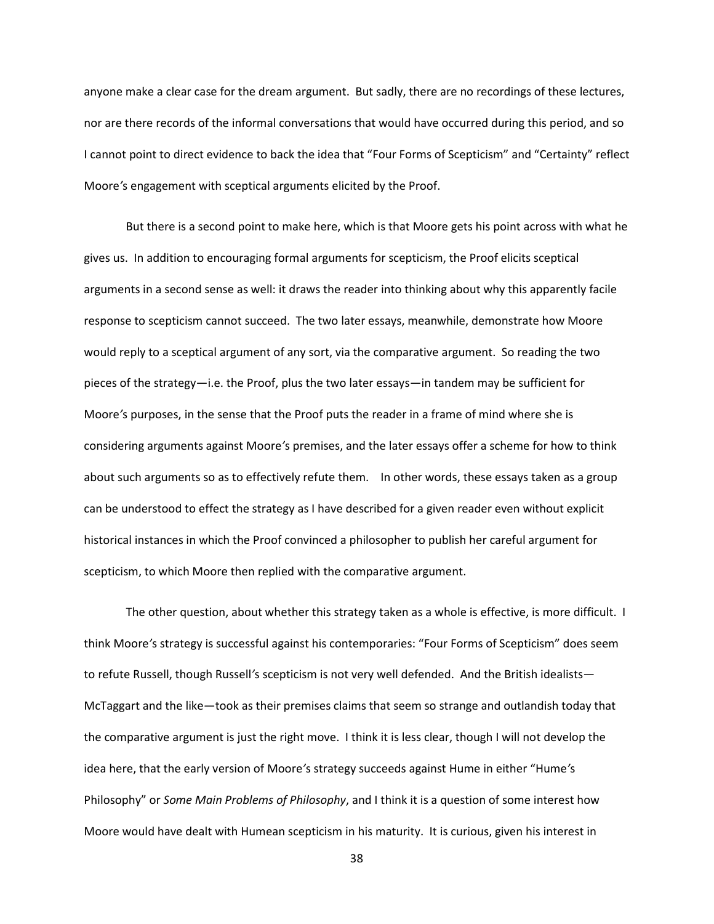anyone make a clear case for the dream argument. But sadly, there are no recordings of these lectures, nor are there records of the informal conversations that would have occurred during this period, and so I cannot point to direct evidence to back the idea that "Four Forms of Scepticism" and "Certainty" reflect Moore*'*s engagement with sceptical arguments elicited by the Proof.

But there is a second point to make here, which is that Moore gets his point across with what he gives us. In addition to encouraging formal arguments for scepticism, the Proof elicits sceptical arguments in a second sense as well: it draws the reader into thinking about why this apparently facile response to scepticism cannot succeed. The two later essays, meanwhile, demonstrate how Moore would reply to a sceptical argument of any sort, via the comparative argument. So reading the two pieces of the strategy—i.e. the Proof, plus the two later essays—in tandem may be sufficient for Moore*'*s purposes, in the sense that the Proof puts the reader in a frame of mind where she is considering arguments against Moore*'*s premises, and the later essays offer a scheme for how to think about such arguments so as to effectively refute them. In other words, these essays taken as a group can be understood to effect the strategy as I have described for a given reader even without explicit historical instances in which the Proof convinced a philosopher to publish her careful argument for scepticism, to which Moore then replied with the comparative argument.

The other question, about whether this strategy taken as a whole is effective, is more difficult. I think Moore*'*s strategy is successful against his contemporaries: "Four Forms of Scepticism" does seem to refute Russell, though Russell*'*s scepticism is not very well defended. And the British idealists— McTaggart and the like—took as their premises claims that seem so strange and outlandish today that the comparative argument is just the right move. I think it is less clear, though I will not develop the idea here, that the early version of Moore*'*s strategy succeeds against Hume in either "Hume*'*s Philosophy" or *Some Main Problems of Philosophy*, and I think it is a question of some interest how Moore would have dealt with Humean scepticism in his maturity. It is curious, given his interest in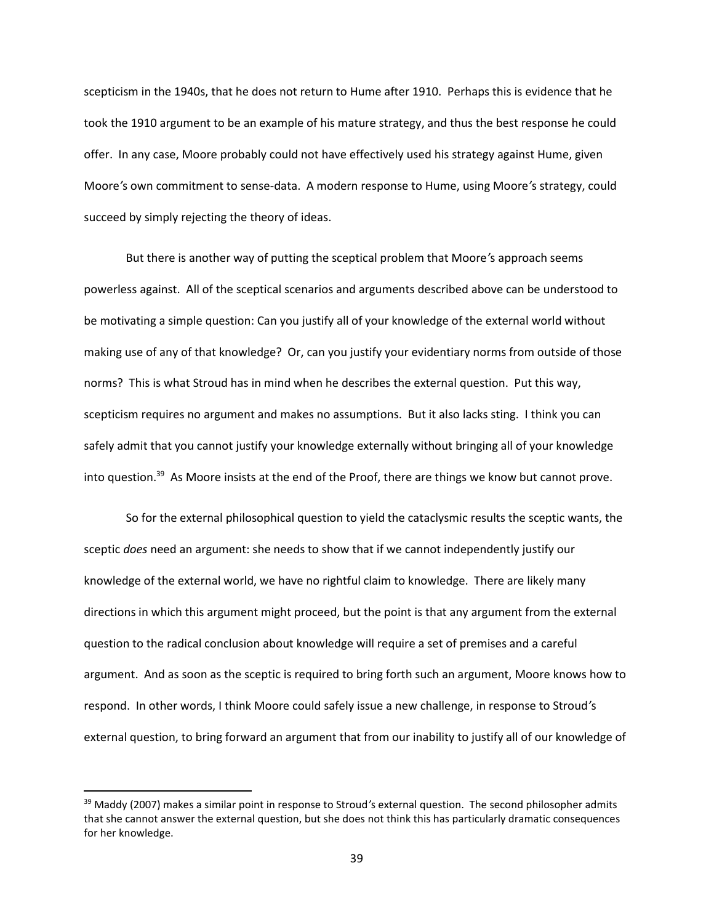scepticism in the 1940s, that he does not return to Hume after 1910. Perhaps this is evidence that he took the 1910 argument to be an example of his mature strategy, and thus the best response he could offer. In any case, Moore probably could not have effectively used his strategy against Hume, given Moore*'*s own commitment to sense-data. A modern response to Hume, using Moore*'*s strategy, could succeed by simply rejecting the theory of ideas.

But there is another way of putting the sceptical problem that Moore*'*s approach seems powerless against. All of the sceptical scenarios and arguments described above can be understood to be motivating a simple question: Can you justify all of your knowledge of the external world without making use of any of that knowledge? Or, can you justify your evidentiary norms from outside of those norms? This is what Stroud has in mind when he describes the external question. Put this way, scepticism requires no argument and makes no assumptions. But it also lacks sting. I think you can safely admit that you cannot justify your knowledge externally without bringing all of your knowledge into question.<sup>39</sup> As Moore insists at the end of the Proof, there are things we know but cannot prove.

So for the external philosophical question to yield the cataclysmic results the sceptic wants, the sceptic *does* need an argument: she needs to show that if we cannot independently justify our knowledge of the external world, we have no rightful claim to knowledge. There are likely many directions in which this argument might proceed, but the point is that any argument from the external question to the radical conclusion about knowledge will require a set of premises and a careful argument. And as soon as the sceptic is required to bring forth such an argument, Moore knows how to respond. In other words, I think Moore could safely issue a new challenge, in response to Stroud*'*s external question, to bring forward an argument that from our inability to justify all of our knowledge of

<sup>39</sup> Maddy (2007) makes a similar point in response to Stroud*'*s external question. The second philosopher admits that she cannot answer the external question, but she does not think this has particularly dramatic consequences for her knowledge.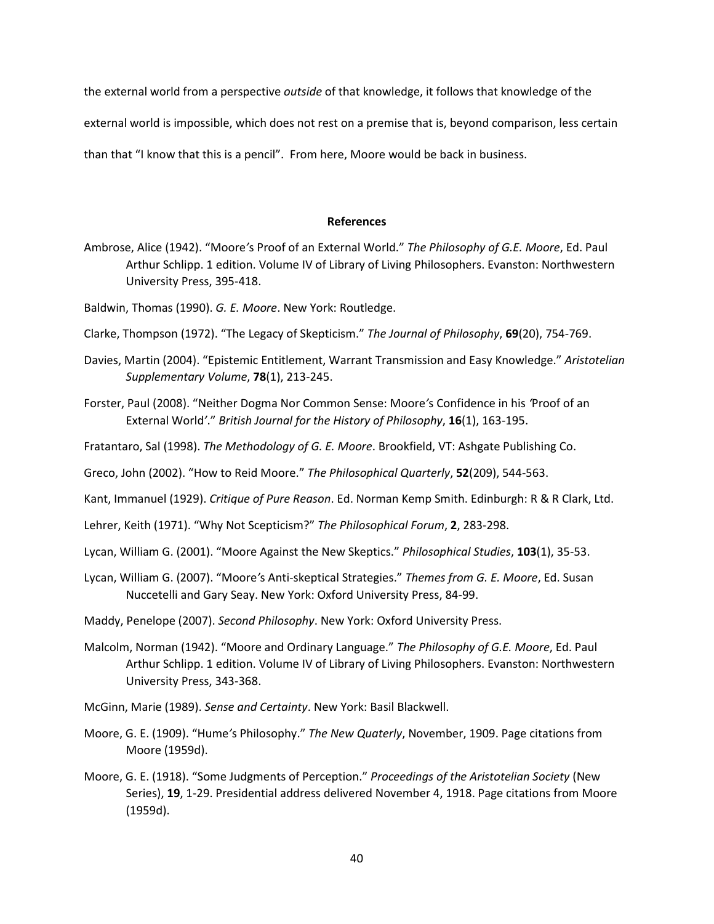the external world from a perspective *outside* of that knowledge, it follows that knowledge of the

external world is impossible, which does not rest on a premise that is, beyond comparison, less certain

than that "I know that this is a pencil". From here, Moore would be back in business.

#### **References**

- Ambrose, Alice (1942). "Moore*'*s Proof of an External World." *The Philosophy of G.E. Moore*, Ed. Paul Arthur Schlipp. 1 edition. Volume IV of Library of Living Philosophers. Evanston: Northwestern University Press, 395-418.
- Baldwin, Thomas (1990). *G. E. Moore*. New York: Routledge.
- Clarke, Thompson (1972). "The Legacy of Skepticism." *The Journal of Philosophy*, **69**(20), 754-769.
- Davies, Martin (2004). "Epistemic Entitlement, Warrant Transmission and Easy Knowledge." *Aristotelian Supplementary Volume*, **78**(1), 213-245.
- Forster, Paul (2008). "Neither Dogma Nor Common Sense: Moore*'*s Confidence in his *'*Proof of an External World*'*." *British Journal for the History of Philosophy*, **16**(1), 163-195.
- Fratantaro, Sal (1998). *The Methodology of G. E. Moore*. Brookfield, VT: Ashgate Publishing Co.
- Greco, John (2002). "How to Reid Moore." *The Philosophical Quarterly*, **52**(209), 544-563.

Kant, Immanuel (1929). *Critique of Pure Reason*. Ed. Norman Kemp Smith. Edinburgh: R & R Clark, Ltd.

- Lehrer, Keith (1971). "Why Not Scepticism?" *The Philosophical Forum*, **2**, 283-298.
- Lycan, William G. (2001). "Moore Against the New Skeptics." *Philosophical Studies*, **103**(1), 35-53.
- Lycan, William G. (2007). "Moore*'*s Anti-skeptical Strategies." *Themes from G. E. Moore*, Ed. Susan Nuccetelli and Gary Seay. New York: Oxford University Press, 84-99.
- Maddy, Penelope (2007). *Second Philosophy*. New York: Oxford University Press.
- Malcolm, Norman (1942). "Moore and Ordinary Language." *The Philosophy of G.E. Moore*, Ed. Paul Arthur Schlipp. 1 edition. Volume IV of Library of Living Philosophers. Evanston: Northwestern University Press, 343-368.
- McGinn, Marie (1989). *Sense and Certainty*. New York: Basil Blackwell.
- Moore, G. E. (1909). "Hume*'*s Philosophy." *The New Quaterly*, November, 1909. Page citations from Moore (1959d).
- Moore, G. E. (1918). "Some Judgments of Perception." *Proceedings of the Aristotelian Society* (New Series), **19**, 1-29. Presidential address delivered November 4, 1918. Page citations from Moore (1959d).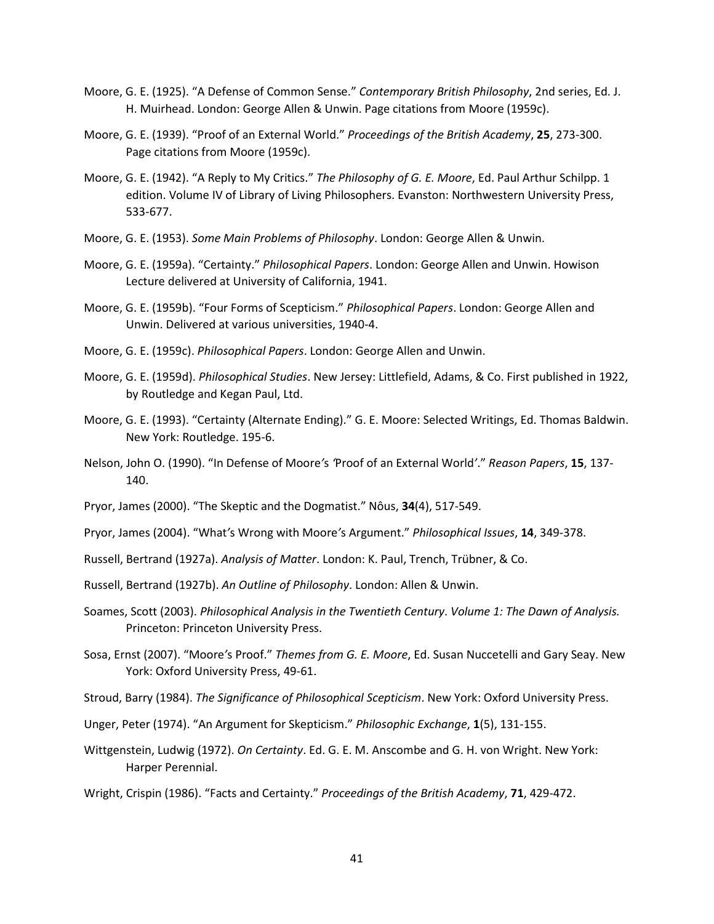- Moore, G. E. (1925). "A Defense of Common Sense." *Contemporary British Philosophy*, 2nd series, Ed. J. H. Muirhead. London: George Allen & Unwin. Page citations from Moore (1959c).
- Moore, G. E. (1939). "Proof of an External World." *Proceedings of the British Academy*, **25**, 273-300. Page citations from Moore (1959c).
- Moore, G. E. (1942). "A Reply to My Critics." *The Philosophy of G. E. Moore*, Ed. Paul Arthur Schilpp. 1 edition. Volume IV of Library of Living Philosophers. Evanston: Northwestern University Press, 533-677.
- Moore, G. E. (1953). *Some Main Problems of Philosophy*. London: George Allen & Unwin.
- Moore, G. E. (1959a). "Certainty." *Philosophical Papers*. London: George Allen and Unwin. Howison Lecture delivered at University of California, 1941.
- Moore, G. E. (1959b). "Four Forms of Scepticism." *Philosophical Papers*. London: George Allen and Unwin. Delivered at various universities, 1940-4.
- Moore, G. E. (1959c). *Philosophical Papers*. London: George Allen and Unwin.
- Moore, G. E. (1959d). *Philosophical Studies*. New Jersey: Littlefield, Adams, & Co. First published in 1922, by Routledge and Kegan Paul, Ltd.
- Moore, G. E. (1993). "Certainty (Alternate Ending)." G. E. Moore: Selected Writings, Ed. Thomas Baldwin. New York: Routledge. 195-6.
- Nelson, John O. (1990). "In Defense of Moore*'*s *'*Proof of an External World*'*." *Reason Papers*, **15**, 137- 140.
- Pryor, James (2000). "The Skeptic and the Dogmatist." Nôus, **34**(4), 517-549.
- Pryor, James (2004). "What*'*s Wrong with Moore*'*s Argument." *Philosophical Issues*, **14**, 349-378.
- Russell, Bertrand (1927a). *Analysis of Matter*. London: K. Paul, Trench, Trübner, & Co.
- Russell, Bertrand (1927b). *An Outline of Philosophy*. London: Allen & Unwin.
- Soames, Scott (2003). *Philosophical Analysis in the Twentieth Century*. *Volume 1: The Dawn of Analysis.* Princeton: Princeton University Press.
- Sosa, Ernst (2007). "Moore*'*s Proof." *Themes from G. E. Moore*, Ed. Susan Nuccetelli and Gary Seay. New York: Oxford University Press, 49-61.
- Stroud, Barry (1984). *The Significance of Philosophical Scepticism*. New York: Oxford University Press.
- Unger, Peter (1974). "An Argument for Skepticism." *Philosophic Exchange*, **1**(5), 131-155.
- Wittgenstein, Ludwig (1972). *On Certainty*. Ed. G. E. M. Anscombe and G. H. von Wright. New York: Harper Perennial.
- Wright, Crispin (1986). "Facts and Certainty." *Proceedings of the British Academy*, **71**, 429-472.